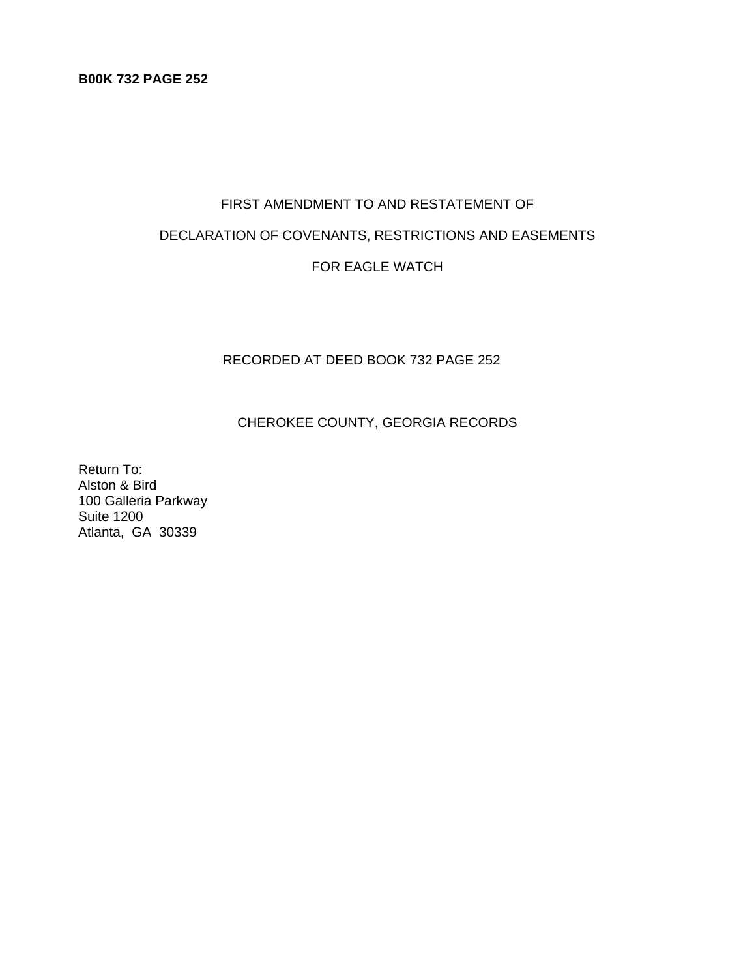# FIRST AMENDMENT TO AND RESTATEMENT OF

# DECLARATION OF COVENANTS, RESTRICTIONS AND EASEMENTS

# FOR EAGLE WATCH

# RECORDED AT DEED BOOK 732 PAGE 252

# CHEROKEE COUNTY, GEORGIA RECORDS

Return To: Alston & Bird 100 Galleria Parkway Suite 1200 Atlanta, GA 30339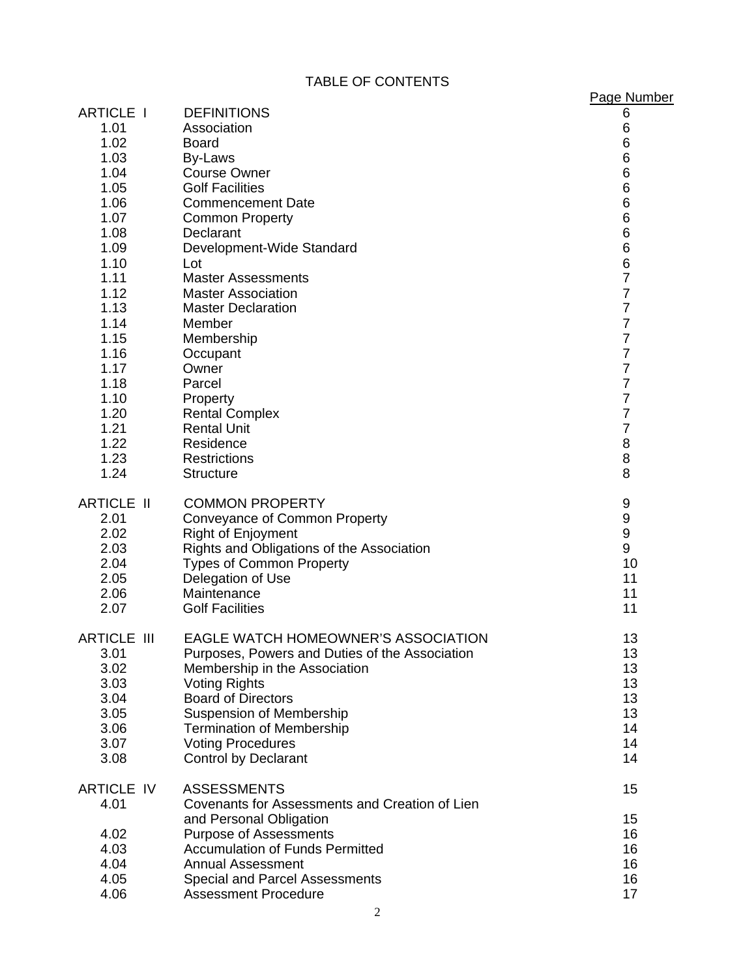TABLE OF CONTENTS

|                    |                                                        | Page Number         |
|--------------------|--------------------------------------------------------|---------------------|
| <b>ARTICLE I</b>   | <b>DEFINITIONS</b>                                     | 6                   |
| 1.01               | Association                                            | 6                   |
| 1.02               | <b>Board</b>                                           | 6                   |
| 1.03               | By-Laws                                                | 6                   |
| 1.04               | <b>Course Owner</b>                                    | 6                   |
| 1.05               | <b>Golf Facilities</b>                                 | 6                   |
| 1.06               | <b>Commencement Date</b>                               | 6                   |
| 1.07               | <b>Common Property</b>                                 | 6                   |
| 1.08               | Declarant                                              | 6                   |
| 1.09               | Development-Wide Standard                              | 6                   |
| 1.10               | Lot                                                    | 6<br>$\overline{7}$ |
| 1.11<br>1.12       | <b>Master Assessments</b>                              | $\overline{7}$      |
| 1.13               | <b>Master Association</b><br><b>Master Declaration</b> | $\overline{7}$      |
| 1.14               | Member                                                 | $\overline{7}$      |
| 1.15               | Membership                                             | $\overline{7}$      |
| 1.16               | Occupant                                               | $\overline{7}$      |
| 1.17               | Owner                                                  | $\overline{7}$      |
| 1.18               | Parcel                                                 | $\overline{7}$      |
| 1.10               | Property                                               | $\overline{7}$      |
| 1.20               | <b>Rental Complex</b>                                  | $\overline{7}$      |
| 1.21               | <b>Rental Unit</b>                                     | $\overline{7}$      |
| 1.22               | Residence                                              | 8                   |
| 1.23               | <b>Restrictions</b>                                    | 8                   |
| 1.24               | <b>Structure</b>                                       | 8                   |
| <b>ARTICLE II</b>  | <b>COMMON PROPERTY</b>                                 | 9                   |
| 2.01               | Conveyance of Common Property                          | 9                   |
| 2.02               | <b>Right of Enjoyment</b>                              | 9                   |
| 2.03               | Rights and Obligations of the Association              | 9                   |
| 2.04               | <b>Types of Common Property</b>                        | 10                  |
| 2.05               | Delegation of Use                                      | 11                  |
| 2.06               | Maintenance                                            | 11                  |
| 2.07               | <b>Golf Facilities</b>                                 | 11                  |
| <b>ARTICLE III</b> | <b>EAGLE WATCH HOMEOWNER'S ASSOCIATION</b>             | 13                  |
| 3.01               | Purposes, Powers and Duties of the Association         | 13                  |
| 3.02               | Membership in the Association                          | 13                  |
| 3.03               | <b>Voting Rights</b>                                   | 13                  |
| 3.04               | <b>Board of Directors</b>                              | 13                  |
| 3.05               | <b>Suspension of Membership</b>                        | 13                  |
| 3.06               | <b>Termination of Membership</b>                       | 14                  |
| 3.07               | <b>Voting Procedures</b>                               | 14                  |
| 3.08               | <b>Control by Declarant</b>                            | 14                  |
| <b>ARTICLE IV</b>  | <b>ASSESSMENTS</b>                                     | 15                  |
| 4.01               | Covenants for Assessments and Creation of Lien         |                     |
|                    | and Personal Obligation                                | 15                  |
| 4.02               | <b>Purpose of Assessments</b>                          | 16                  |
| 4.03               | <b>Accumulation of Funds Permitted</b>                 | 16                  |
| 4.04               | <b>Annual Assessment</b>                               | 16                  |
| 4.05               | <b>Special and Parcel Assessments</b>                  | 16                  |
| 4.06               | <b>Assessment Procedure</b>                            | 17                  |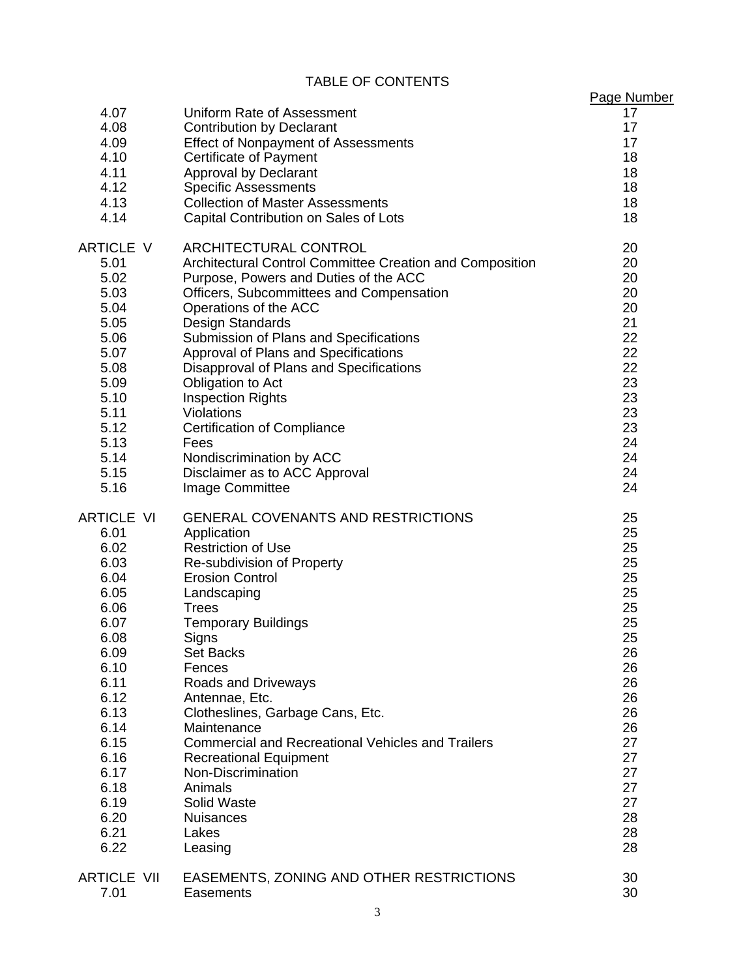TABLE OF CONTENTS

|                                                              | <b>TABLE OF CONTENTS</b>                                                                                                                                                                                                                                                                         |                                                             |
|--------------------------------------------------------------|--------------------------------------------------------------------------------------------------------------------------------------------------------------------------------------------------------------------------------------------------------------------------------------------------|-------------------------------------------------------------|
| 4.07<br>4.08<br>4.09<br>4.10<br>4.11<br>4.12<br>4.13<br>4.14 | Uniform Rate of Assessment<br><b>Contribution by Declarant</b><br><b>Effect of Nonpayment of Assessments</b><br><b>Certificate of Payment</b><br><b>Approval by Declarant</b><br><b>Specific Assessments</b><br><b>Collection of Master Assessments</b><br>Capital Contribution on Sales of Lots | Page Number<br>17<br>17<br>17<br>18<br>18<br>18<br>18<br>18 |
| ARTICLE V                                                    | ARCHITECTURAL CONTROL                                                                                                                                                                                                                                                                            | 20                                                          |
| 5.01                                                         | Architectural Control Committee Creation and Composition                                                                                                                                                                                                                                         | 20                                                          |
| 5.02                                                         | Purpose, Powers and Duties of the ACC                                                                                                                                                                                                                                                            | 20                                                          |
| 5.03                                                         | Officers, Subcommittees and Compensation                                                                                                                                                                                                                                                         | 20                                                          |
| 5.04                                                         | Operations of the ACC                                                                                                                                                                                                                                                                            | 20                                                          |
| 5.05                                                         | Design Standards                                                                                                                                                                                                                                                                                 | 21                                                          |
| 5.06                                                         | Submission of Plans and Specifications                                                                                                                                                                                                                                                           | 22                                                          |
| 5.07                                                         | Approval of Plans and Specifications                                                                                                                                                                                                                                                             | 22                                                          |
| 5.08                                                         | Disapproval of Plans and Specifications                                                                                                                                                                                                                                                          | 22                                                          |
| 5.09                                                         | Obligation to Act                                                                                                                                                                                                                                                                                | 23                                                          |
| 5.10                                                         | <b>Inspection Rights</b>                                                                                                                                                                                                                                                                         | 23                                                          |
| 5.11                                                         | Violations                                                                                                                                                                                                                                                                                       | 23                                                          |
| 5.12                                                         | <b>Certification of Compliance</b>                                                                                                                                                                                                                                                               | 23                                                          |
| 5.13                                                         | Fees                                                                                                                                                                                                                                                                                             | 24                                                          |
| 5.14                                                         | Nondiscrimination by ACC                                                                                                                                                                                                                                                                         | 24                                                          |
| 5.15                                                         | Disclaimer as to ACC Approval                                                                                                                                                                                                                                                                    | 24                                                          |
| 5.16                                                         | Image Committee                                                                                                                                                                                                                                                                                  | 24                                                          |
| <b>ARTICLE VI</b>                                            | <b>GENERAL COVENANTS AND RESTRICTIONS</b>                                                                                                                                                                                                                                                        | 25                                                          |
| 6.01                                                         | Application                                                                                                                                                                                                                                                                                      | 25                                                          |
| 6.02                                                         | <b>Restriction of Use</b>                                                                                                                                                                                                                                                                        | 25                                                          |
| 6.03                                                         | Re-subdivision of Property                                                                                                                                                                                                                                                                       | 25                                                          |
| 6.04                                                         | <b>Erosion Control</b>                                                                                                                                                                                                                                                                           | 25                                                          |
| 6.05                                                         | Landscaping                                                                                                                                                                                                                                                                                      | 25                                                          |
| 6.06                                                         | <b>Trees</b>                                                                                                                                                                                                                                                                                     | 25                                                          |
| 6.07                                                         | <b>Temporary Buildings</b>                                                                                                                                                                                                                                                                       | 25                                                          |
| 6.08                                                         | Signs                                                                                                                                                                                                                                                                                            | 25                                                          |
| 6.09                                                         | <b>Set Backs</b>                                                                                                                                                                                                                                                                                 | 26                                                          |
| 6.10                                                         | Fences                                                                                                                                                                                                                                                                                           | 26                                                          |
| 6.11                                                         | <b>Roads and Driveways</b>                                                                                                                                                                                                                                                                       | 26                                                          |
| 6.12                                                         | Antennae, Etc.                                                                                                                                                                                                                                                                                   | 26                                                          |
| 6.13                                                         | Clotheslines, Garbage Cans, Etc.                                                                                                                                                                                                                                                                 | 26                                                          |
| 6.14                                                         | Maintenance                                                                                                                                                                                                                                                                                      | 26                                                          |
| 6.15                                                         | <b>Commercial and Recreational Vehicles and Trailers</b>                                                                                                                                                                                                                                         | 27                                                          |
| 6.16                                                         | <b>Recreational Equipment</b>                                                                                                                                                                                                                                                                    | 27                                                          |
| 6.17                                                         | Non-Discrimination                                                                                                                                                                                                                                                                               | 27                                                          |
| 6.18                                                         | Animals                                                                                                                                                                                                                                                                                          | 27                                                          |
| 6.19                                                         | Solid Waste                                                                                                                                                                                                                                                                                      | 27                                                          |
| 6.20                                                         | <b>Nuisances</b>                                                                                                                                                                                                                                                                                 | 28                                                          |
| 6.21                                                         | Lakes                                                                                                                                                                                                                                                                                            | 28                                                          |
| 6.22                                                         | Leasing                                                                                                                                                                                                                                                                                          | 28                                                          |
| <b>ARTICLE VII</b>                                           | EASEMENTS, ZONING AND OTHER RESTRICTIONS                                                                                                                                                                                                                                                         | 30                                                          |
| 7.01                                                         | Easements                                                                                                                                                                                                                                                                                        | 30                                                          |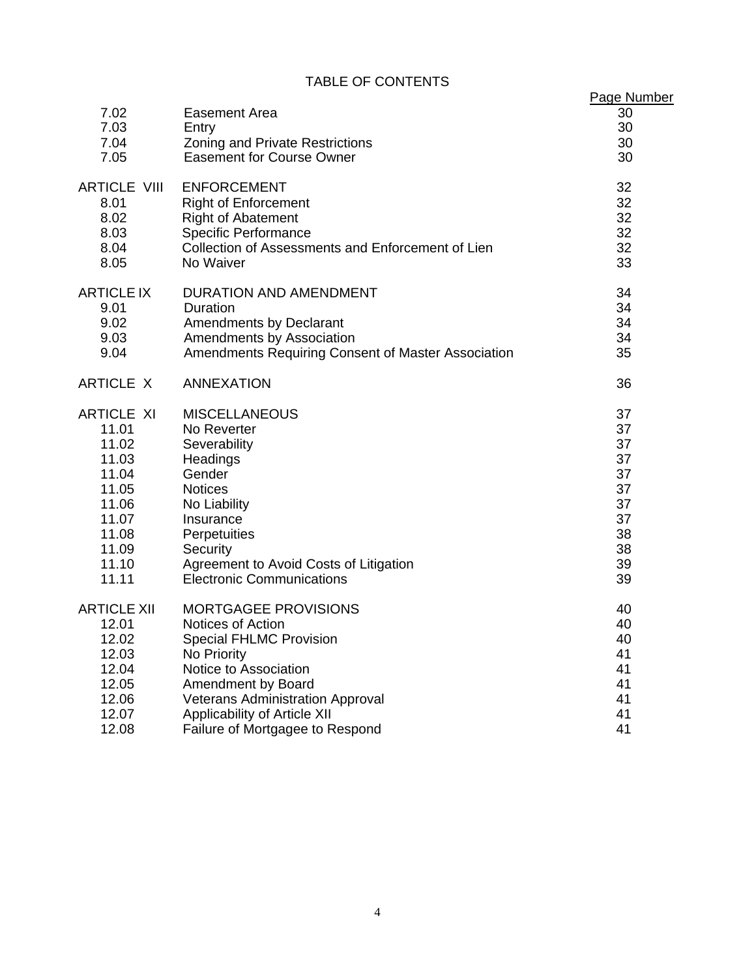# TABLE OF CONTENTS

| <b>TABLE OF CONTENTS</b> |                                                    |             |  |  |  |
|--------------------------|----------------------------------------------------|-------------|--|--|--|
|                          |                                                    | Page Number |  |  |  |
| 7.02                     | <b>Easement Area</b>                               | 30          |  |  |  |
| 7.03                     | Entry                                              | 30          |  |  |  |
| 7.04                     | Zoning and Private Restrictions                    | 30          |  |  |  |
| 7.05                     | <b>Easement for Course Owner</b>                   | 30          |  |  |  |
| <b>ARTICLE VIII</b>      | <b>ENFORCEMENT</b>                                 | 32          |  |  |  |
| 8.01                     | <b>Right of Enforcement</b>                        | 32          |  |  |  |
| 8.02                     | <b>Right of Abatement</b>                          | 32          |  |  |  |
| 8.03                     | <b>Specific Performance</b>                        | 32          |  |  |  |
| 8.04                     | Collection of Assessments and Enforcement of Lien  | 32          |  |  |  |
| 8.05                     | No Waiver                                          | 33          |  |  |  |
| <b>ARTICLE IX</b>        | DURATION AND AMENDMENT                             | 34          |  |  |  |
| 9.01                     | Duration                                           | 34          |  |  |  |
| 9.02                     | <b>Amendments by Declarant</b>                     | 34          |  |  |  |
| 9.03                     | Amendments by Association                          | 34          |  |  |  |
| 9.04                     | Amendments Requiring Consent of Master Association | 35          |  |  |  |
| ARTICLE X                | <b>ANNEXATION</b>                                  | 36          |  |  |  |
| <b>ARTICLE XI</b>        | <b>MISCELLANEOUS</b>                               | 37          |  |  |  |
| 11.01                    | No Reverter                                        | 37          |  |  |  |
| 11.02                    | Severability                                       | 37          |  |  |  |
| 11.03                    | Headings                                           | 37          |  |  |  |
| 11.04                    | Gender                                             | 37          |  |  |  |
| 11.05                    | <b>Notices</b>                                     | 37          |  |  |  |
| 11.06                    | No Liability                                       | 37          |  |  |  |
| 11.07                    | Insurance                                          | 37          |  |  |  |
| 11.08                    | Perpetuities                                       | 38          |  |  |  |
| 11.09                    | Security                                           | 38          |  |  |  |
| 11.10                    | Agreement to Avoid Costs of Litigation             | 39          |  |  |  |
| 11.11                    | <b>Electronic Communications</b>                   | 39          |  |  |  |
| <b>ARTICLE XII</b>       | <b>MORTGAGEE PROVISIONS</b>                        | 40          |  |  |  |
| 12.01                    | Notices of Action                                  | 40          |  |  |  |
| 12.02                    | <b>Special FHLMC Provision</b>                     | 40          |  |  |  |
| 12.03                    | No Priority                                        | 41          |  |  |  |
| 12.04                    | Notice to Association                              | 41          |  |  |  |
| 12.05                    | Amendment by Board                                 | 41          |  |  |  |
| 12.06                    | <b>Veterans Administration Approval</b>            | 41          |  |  |  |
| 12.07                    | Applicability of Article XII                       | 41          |  |  |  |
| 12.08                    | Failure of Mortgagee to Respond                    | 41          |  |  |  |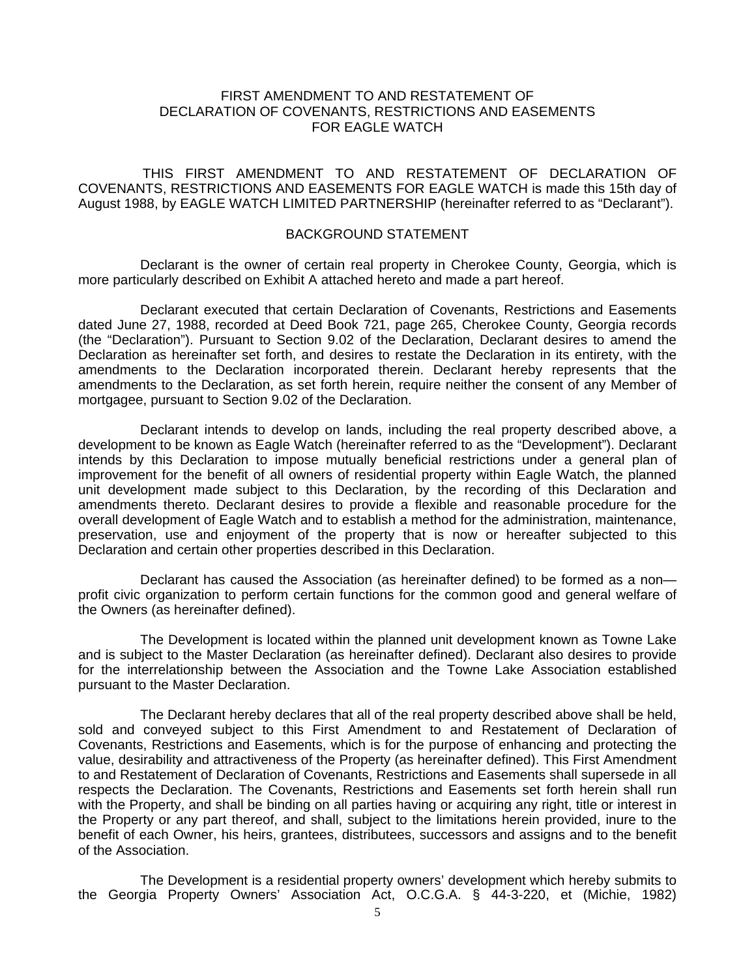#### FIRST AMENDMENT TO AND RESTATEMENT OF DECLARATION OF COVENANTS, RESTRICTIONS AND EASEMENTS FOR EAGLE WATCH

THIS FIRST AMENDMENT TO AND RESTATEMENT OF DECLARATION OF COVENANTS, RESTRICTIONS AND EASEMENTS FOR EAGLE WATCH is made this 15th day of August 1988, by EAGLE WATCH LIMITED PARTNERSHIP (hereinafter referred to as "Declarant").

#### BACKGROUND STATEMENT

Declarant is the owner of certain real property in Cherokee County, Georgia, which is more particularly described on Exhibit A attached hereto and made a part hereof.

Declarant executed that certain Declaration of Covenants, Restrictions and Easements dated June 27, 1988, recorded at Deed Book 721, page 265, Cherokee County, Georgia records (the "Declaration"). Pursuant to Section 9.02 of the Declaration, Declarant desires to amend the Declaration as hereinafter set forth, and desires to restate the Declaration in its entirety, with the amendments to the Declaration incorporated therein. Declarant hereby represents that the amendments to the Declaration, as set forth herein, require neither the consent of any Member of mortgagee, pursuant to Section 9.02 of the Declaration.

Declarant intends to develop on lands, including the real property described above, a development to be known as Eagle Watch (hereinafter referred to as the "Development"). Declarant intends by this Declaration to impose mutually beneficial restrictions under a general plan of improvement for the benefit of all owners of residential property within Eagle Watch, the planned unit development made subject to this Declaration, by the recording of this Declaration and amendments thereto. Declarant desires to provide a flexible and reasonable procedure for the overall development of Eagle Watch and to establish a method for the administration, maintenance, preservation, use and enjoyment of the property that is now or hereafter subjected to this Declaration and certain other properties described in this Declaration.

Declarant has caused the Association (as hereinafter defined) to be formed as a non profit civic organization to perform certain functions for the common good and general welfare of the Owners (as hereinafter defined).

The Development is located within the planned unit development known as Towne Lake and is subject to the Master Declaration (as hereinafter defined). Declarant also desires to provide for the interrelationship between the Association and the Towne Lake Association established pursuant to the Master Declaration.

The Declarant hereby declares that all of the real property described above shall be held, sold and conveyed subject to this First Amendment to and Restatement of Declaration of Covenants, Restrictions and Easements, which is for the purpose of enhancing and protecting the value, desirability and attractiveness of the Property (as hereinafter defined). This First Amendment to and Restatement of Declaration of Covenants, Restrictions and Easements shall supersede in all respects the Declaration. The Covenants, Restrictions and Easements set forth herein shall run with the Property, and shall be binding on all parties having or acquiring any right, title or interest in the Property or any part thereof, and shall, subject to the limitations herein provided, inure to the benefit of each Owner, his heirs, grantees, distributees, successors and assigns and to the benefit of the Association.

The Development is a residential property owners' development which hereby submits to the Georgia Property Owners' Association Act, O.C.G.A. § 44-3-220, et (Michie, 1982)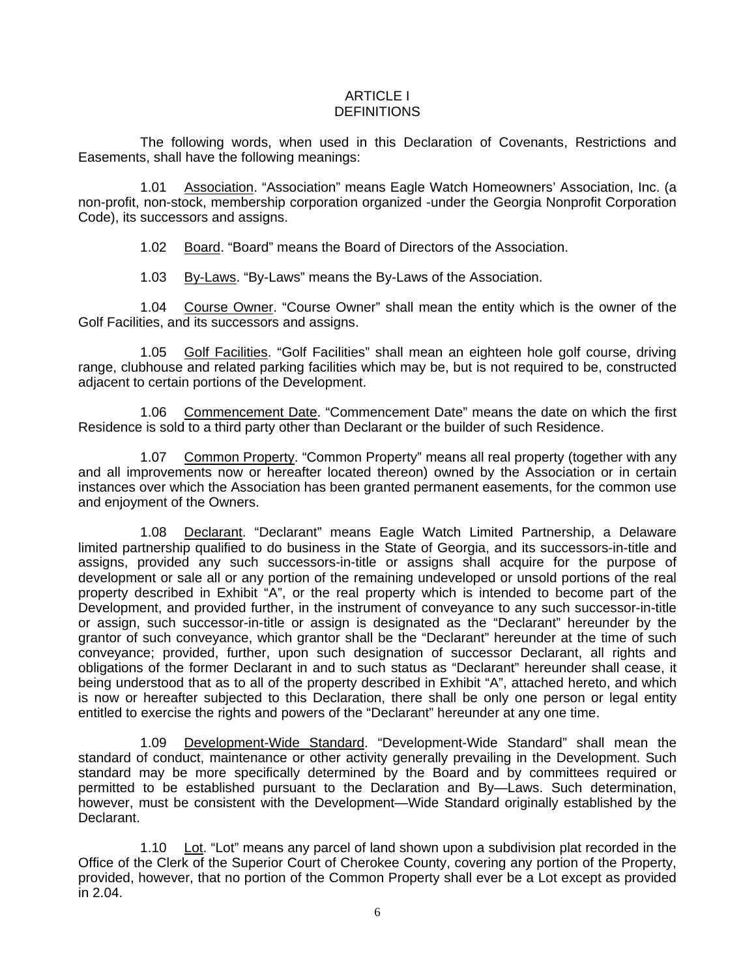#### ARTICLE I **DEFINITIONS**

The following words, when used in this Declaration of Covenants, Restrictions and Easements, shall have the following meanings:

1.01 Association. "Association" means Eagle Watch Homeowners' Association, Inc. (a non-profit, non-stock, membership corporation organized -under the Georgia Nonprofit Corporation Code), its successors and assigns.

1.02 Board. "Board" means the Board of Directors of the Association.

1.03 By-Laws. "By-Laws" means the By-Laws of the Association.

1.04 Course Owner. "Course Owner" shall mean the entity which is the owner of the Golf Facilities, and its successors and assigns.

1.05 Golf Facilities. "Golf Facilities" shall mean an eighteen hole golf course, driving range, clubhouse and related parking facilities which may be, but is not required to be, constructed adjacent to certain portions of the Development.

1.06 Commencement Date. "Commencement Date" means the date on which the first Residence is sold to a third party other than Declarant or the builder of such Residence.

1.07 Common Property. "Common Property" means all real property (together with any and all improvements now or hereafter located thereon) owned by the Association or in certain instances over which the Association has been granted permanent easements, for the common use and enjoyment of the Owners.

1.08 Declarant. "Declarant" means Eagle Watch Limited Partnership, a Delaware limited partnership qualified to do business in the State of Georgia, and its successors-in-title and assigns, provided any such successors-in-title or assigns shall acquire for the purpose of development or sale all or any portion of the remaining undeveloped or unsold portions of the real property described in Exhibit "A", or the real property which is intended to become part of the Development, and provided further, in the instrument of conveyance to any such successor-in-title or assign, such successor-in-title or assign is designated as the "Declarant" hereunder by the grantor of such conveyance, which grantor shall be the "Declarant" hereunder at the time of such conveyance; provided, further, upon such designation of successor Declarant, all rights and obligations of the former Declarant in and to such status as "Declarant" hereunder shall cease, it being understood that as to all of the property described in Exhibit "A", attached hereto, and which is now or hereafter subjected to this Declaration, there shall be only one person or legal entity entitled to exercise the rights and powers of the "Declarant" hereunder at any one time.

1.09 Development-Wide Standard. "Development-Wide Standard" shall mean the standard of conduct, maintenance or other activity generally prevailing in the Development. Such standard may be more specifically determined by the Board and by committees required or permitted to be established pursuant to the Declaration and By—Laws. Such determination, however, must be consistent with the Development—Wide Standard originally established by the Declarant.

1.10 Lot. "Lot" means any parcel of land shown upon a subdivision plat recorded in the Office of the Clerk of the Superior Court of Cherokee County, covering any portion of the Property, provided, however, that no portion of the Common Property shall ever be a Lot except as provided in 2.04.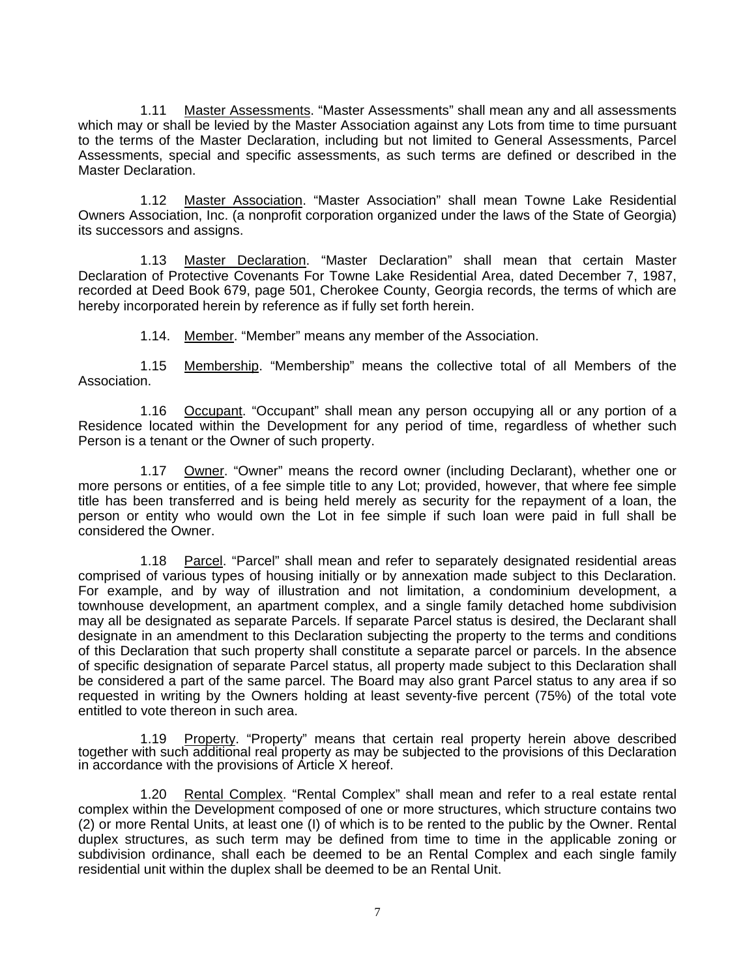1.11 Master Assessments. "Master Assessments" shall mean any and all assessments which may or shall be levied by the Master Association against any Lots from time to time pursuant to the terms of the Master Declaration, including but not limited to General Assessments, Parcel Assessments, special and specific assessments, as such terms are defined or described in the Master Declaration.

1.12 Master Association. "Master Association" shall mean Towne Lake Residential Owners Association, Inc. (a nonprofit corporation organized under the laws of the State of Georgia) its successors and assigns.

1.13 Master Declaration. "Master Declaration" shall mean that certain Master Declaration of Protective Covenants For Towne Lake Residential Area, dated December 7, 1987, recorded at Deed Book 679, page 501, Cherokee County, Georgia records, the terms of which are hereby incorporated herein by reference as if fully set forth herein.

1.14. Member. "Member" means any member of the Association.

1.15 Membership. "Membership" means the collective total of all Members of the Association.

1.16 Occupant. "Occupant" shall mean any person occupying all or any portion of a Residence located within the Development for any period of time, regardless of whether such Person is a tenant or the Owner of such property.

1.17 Owner. "Owner" means the record owner (including Declarant), whether one or more persons or entities, of a fee simple title to any Lot; provided, however, that where fee simple title has been transferred and is being held merely as security for the repayment of a loan, the person or entity who would own the Lot in fee simple if such loan were paid in full shall be considered the Owner.

1.18 Parcel. "Parcel" shall mean and refer to separately designated residential areas comprised of various types of housing initially or by annexation made subject to this Declaration. For example, and by way of illustration and not limitation, a condominium development, a townhouse development, an apartment complex, and a single family detached home subdivision may all be designated as separate Parcels. If separate Parcel status is desired, the Declarant shall designate in an amendment to this Declaration subjecting the property to the terms and conditions of this Declaration that such property shall constitute a separate parcel or parcels. In the absence of specific designation of separate Parcel status, all property made subject to this Declaration shall be considered a part of the same parcel. The Board may also grant Parcel status to any area if so requested in writing by the Owners holding at least seventy-five percent (75%) of the total vote entitled to vote thereon in such area.

1.19 Property. "Property" means that certain real property herein above described together with such additional real property as may be subjected to the provisions of this Declaration in accordance with the provisions of Article X hereof.

1.20 Rental Complex. "Rental Complex" shall mean and refer to a real estate rental complex within the Development composed of one or more structures, which structure contains two (2) or more Rental Units, at least one (I) of which is to be rented to the public by the Owner. Rental duplex structures, as such term may be defined from time to time in the applicable zoning or subdivision ordinance, shall each be deemed to be an Rental Complex and each single family residential unit within the duplex shall be deemed to be an Rental Unit.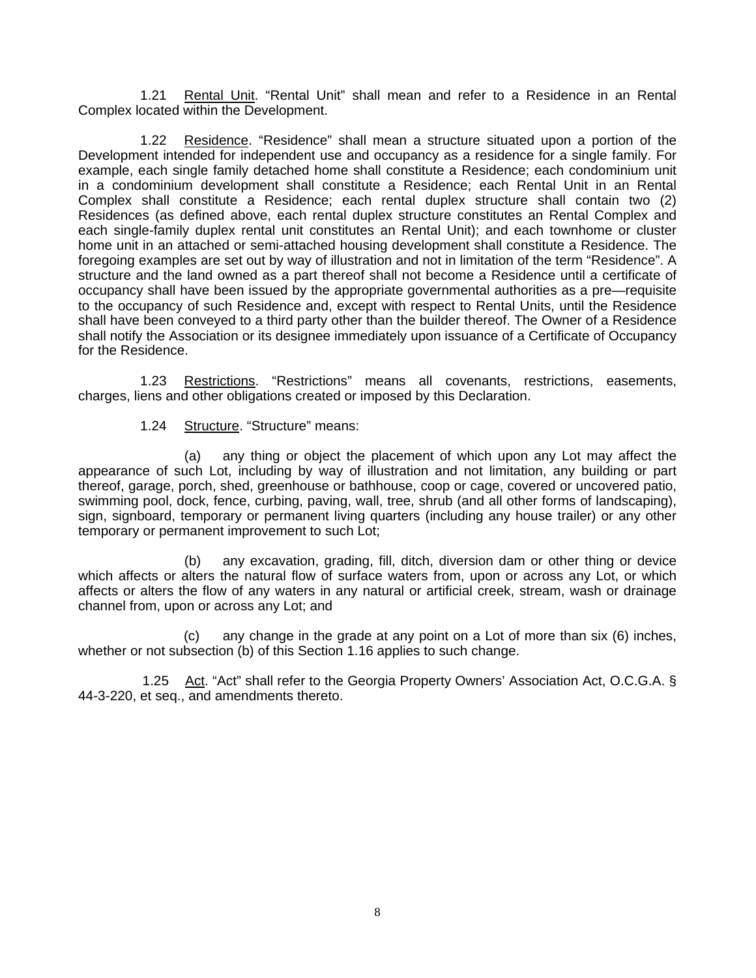1.21 Rental Unit. "Rental Unit" shall mean and refer to a Residence in an Rental Complex located within the Development.

1.22 Residence. "Residence" shall mean a structure situated upon a portion of the Development intended for independent use and occupancy as a residence for a single family. For example, each single family detached home shall constitute a Residence; each condominium unit in a condominium development shall constitute a Residence; each Rental Unit in an Rental Complex shall constitute a Residence; each rental duplex structure shall contain two (2) Residences (as defined above, each rental duplex structure constitutes an Rental Complex and each single-family duplex rental unit constitutes an Rental Unit); and each townhome or cluster home unit in an attached or semi-attached housing development shall constitute a Residence. The foregoing examples are set out by way of illustration and not in limitation of the term "Residence". A structure and the land owned as a part thereof shall not become a Residence until a certificate of occupancy shall have been issued by the appropriate governmental authorities as a pre—requisite to the occupancy of such Residence and, except with respect to Rental Units, until the Residence shall have been conveyed to a third party other than the builder thereof. The Owner of a Residence shall notify the Association or its designee immediately upon issuance of a Certificate of Occupancy for the Residence.

1.23 Restrictions. "Restrictions" means all covenants, restrictions, easements, charges, liens and other obligations created or imposed by this Declaration.

1.24 Structure. "Structure" means:

(a) any thing or object the placement of which upon any Lot may affect the appearance of such Lot, including by way of illustration and not limitation, any building or part thereof, garage, porch, shed, greenhouse or bathhouse, coop or cage, covered or uncovered patio, swimming pool, dock, fence, curbing, paving, wall, tree, shrub (and all other forms of landscaping), sign, signboard, temporary or permanent living quarters (including any house trailer) or any other temporary or permanent improvement to such Lot;

(b) any excavation, grading, fill, ditch, diversion dam or other thing or device which affects or alters the natural flow of surface waters from, upon or across any Lot, or which affects or alters the flow of any waters in any natural or artificial creek, stream, wash or drainage channel from, upon or across any Lot; and

(c) any change in the grade at any point on a Lot of more than six (6) inches, whether or not subsection (b) of this Section 1.16 applies to such change.

 1.25 Act. "Act" shall refer to the Georgia Property Owners' Association Act, O.C.G.A. § 44-3-220, et seq., and amendments thereto.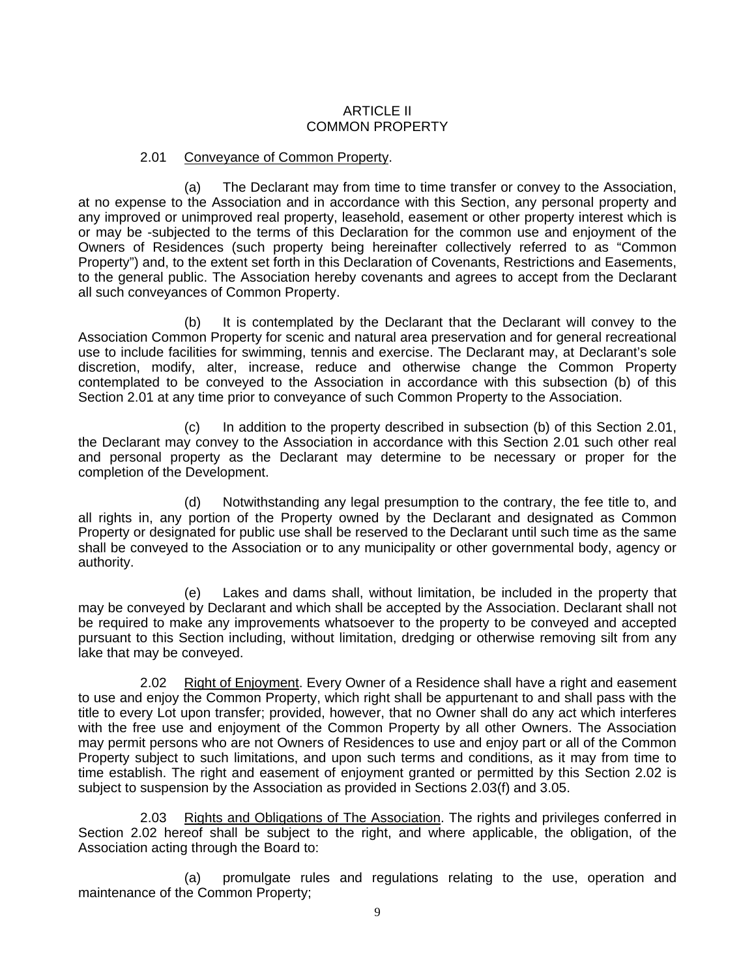#### ARTICLE II COMMON PROPERTY

#### 2.01 Conveyance of Common Property.

(a) The Declarant may from time to time transfer or convey to the Association, at no expense to the Association and in accordance with this Section, any personal property and any improved or unimproved real property, leasehold, easement or other property interest which is or may be -subjected to the terms of this Declaration for the common use and enjoyment of the Owners of Residences (such property being hereinafter collectively referred to as "Common Property") and, to the extent set forth in this Declaration of Covenants, Restrictions and Easements, to the general public. The Association hereby covenants and agrees to accept from the Declarant all such conveyances of Common Property.

(b) It is contemplated by the Declarant that the Declarant will convey to the Association Common Property for scenic and natural area preservation and for general recreational use to include facilities for swimming, tennis and exercise. The Declarant may, at Declarant's sole discretion, modify, alter, increase, reduce and otherwise change the Common Property contemplated to be conveyed to the Association in accordance with this subsection (b) of this Section 2.01 at any time prior to conveyance of such Common Property to the Association.

(c) In addition to the property described in subsection (b) of this Section 2.01, the Declarant may convey to the Association in accordance with this Section 2.01 such other real and personal property as the Declarant may determine to be necessary or proper for the completion of the Development.

(d) Notwithstanding any legal presumption to the contrary, the fee title to, and all rights in, any portion of the Property owned by the Declarant and designated as Common Property or designated for public use shall be reserved to the Declarant until such time as the same shall be conveyed to the Association or to any municipality or other governmental body, agency or authority.

(e) Lakes and dams shall, without limitation, be included in the property that may be conveyed by Declarant and which shall be accepted by the Association. Declarant shall not be required to make any improvements whatsoever to the property to be conveyed and accepted pursuant to this Section including, without limitation, dredging or otherwise removing silt from any lake that may be conveyed.

2.02 Right of Enjoyment. Every Owner of a Residence shall have a right and easement to use and enjoy the Common Property, which right shall be appurtenant to and shall pass with the title to every Lot upon transfer; provided, however, that no Owner shall do any act which interferes with the free use and enjoyment of the Common Property by all other Owners. The Association may permit persons who are not Owners of Residences to use and enjoy part or all of the Common Property subject to such limitations, and upon such terms and conditions, as it may from time to time establish. The right and easement of enjoyment granted or permitted by this Section 2.02 is subject to suspension by the Association as provided in Sections 2.03(f) and 3.05.

2.03 Rights and Obligations of The Association. The rights and privileges conferred in Section 2.02 hereof shall be subject to the right, and where applicable, the obligation, of the Association acting through the Board to:

(a) promulgate rules and regulations relating to the use, operation and maintenance of the Common Property;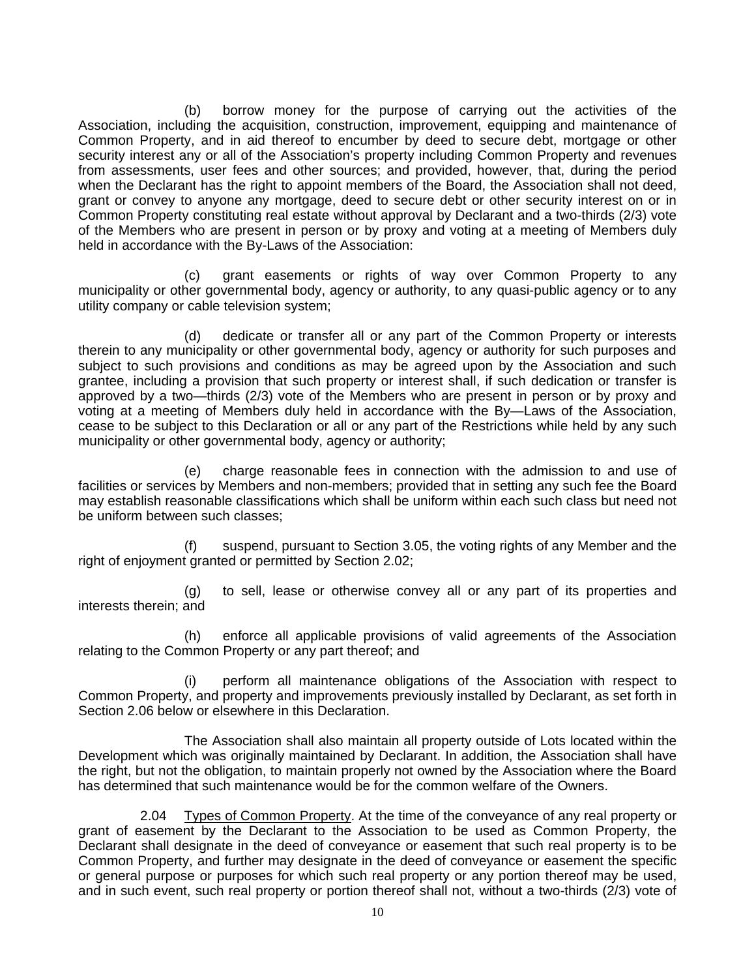(b) borrow money for the purpose of carrying out the activities of the Association, including the acquisition, construction, improvement, equipping and maintenance of Common Property, and in aid thereof to encumber by deed to secure debt, mortgage or other security interest any or all of the Association's property including Common Property and revenues from assessments, user fees and other sources; and provided, however, that, during the period when the Declarant has the right to appoint members of the Board, the Association shall not deed, grant or convey to anyone any mortgage, deed to secure debt or other security interest on or in Common Property constituting real estate without approval by Declarant and a two-thirds (2/3) vote of the Members who are present in person or by proxy and voting at a meeting of Members duly held in accordance with the By-Laws of the Association:

(c) grant easements or rights of way over Common Property to any municipality or other governmental body, agency or authority, to any quasi-public agency or to any utility company or cable television system;

(d) dedicate or transfer all or any part of the Common Property or interests therein to any municipality or other governmental body, agency or authority for such purposes and subject to such provisions and conditions as may be agreed upon by the Association and such grantee, including a provision that such property or interest shall, if such dedication or transfer is approved by a two—thirds (2/3) vote of the Members who are present in person or by proxy and voting at a meeting of Members duly held in accordance with the By—Laws of the Association, cease to be subject to this Declaration or all or any part of the Restrictions while held by any such municipality or other governmental body, agency or authority;

(e) charge reasonable fees in connection with the admission to and use of facilities or services by Members and non-members; provided that in setting any such fee the Board may establish reasonable classifications which shall be uniform within each such class but need not be uniform between such classes;

(f) suspend, pursuant to Section 3.05, the voting rights of any Member and the right of enjoyment granted or permitted by Section 2.02;

(g) to sell, lease or otherwise convey all or any part of its properties and interests therein; and

(h) enforce all applicable provisions of valid agreements of the Association relating to the Common Property or any part thereof; and

(i) perform all maintenance obligations of the Association with respect to Common Property, and property and improvements previously installed by Declarant, as set forth in Section 2.06 below or elsewhere in this Declaration.

The Association shall also maintain all property outside of Lots located within the Development which was originally maintained by Declarant. In addition, the Association shall have the right, but not the obligation, to maintain properly not owned by the Association where the Board has determined that such maintenance would be for the common welfare of the Owners.

2.04 Types of Common Property. At the time of the conveyance of any real property or grant of easement by the Declarant to the Association to be used as Common Property, the Declarant shall designate in the deed of conveyance or easement that such real property is to be Common Property, and further may designate in the deed of conveyance or easement the specific or general purpose or purposes for which such real property or any portion thereof may be used, and in such event, such real property or portion thereof shall not, without a two-thirds (2/3) vote of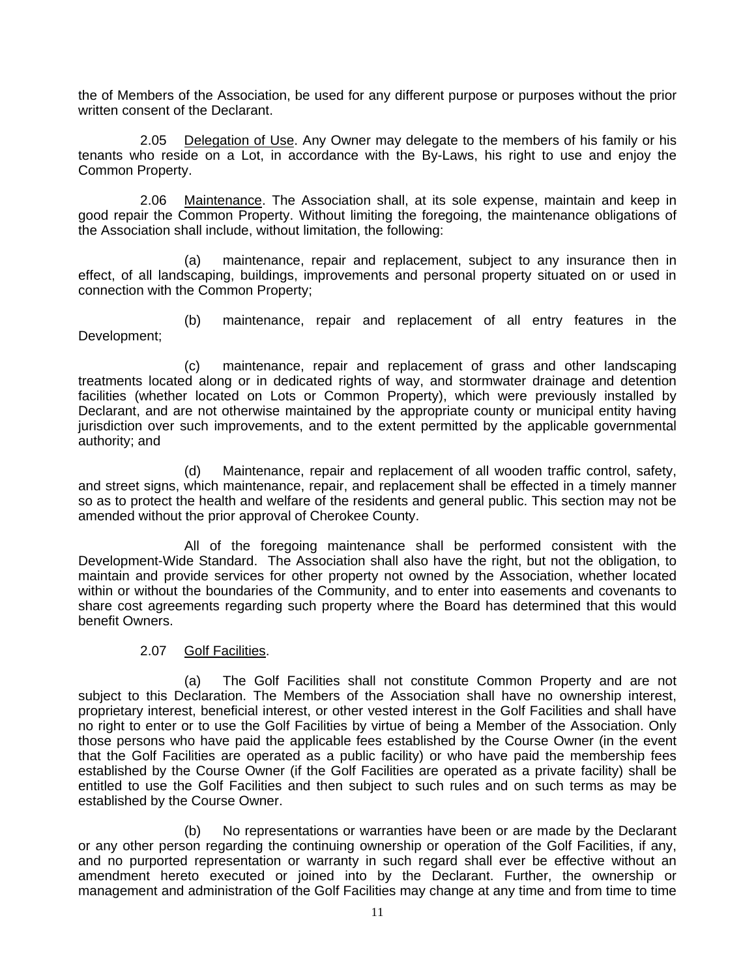the of Members of the Association, be used for any different purpose or purposes without the prior written consent of the Declarant.

2.05 Delegation of Use. Any Owner may delegate to the members of his family or his tenants who reside on a Lot, in accordance with the By-Laws, his right to use and enjoy the Common Property.

2.06 Maintenance. The Association shall, at its sole expense, maintain and keep in good repair the Common Property. Without limiting the foregoing, the maintenance obligations of the Association shall include, without limitation, the following:

(a) maintenance, repair and replacement, subject to any insurance then in effect, of all landscaping, buildings, improvements and personal property situated on or used in connection with the Common Property;

(b) maintenance, repair and replacement of all entry features in the Development;

(c) maintenance, repair and replacement of grass and other landscaping treatments located along or in dedicated rights of way, and stormwater drainage and detention facilities (whether located on Lots or Common Property), which were previously installed by Declarant, and are not otherwise maintained by the appropriate county or municipal entity having jurisdiction over such improvements, and to the extent permitted by the applicable governmental authority; and

(d) Maintenance, repair and replacement of all wooden traffic control, safety, and street signs, which maintenance, repair, and replacement shall be effected in a timely manner so as to protect the health and welfare of the residents and general public. This section may not be amended without the prior approval of Cherokee County.

All of the foregoing maintenance shall be performed consistent with the Development-Wide Standard. The Association shall also have the right, but not the obligation, to maintain and provide services for other property not owned by the Association, whether located within or without the boundaries of the Community, and to enter into easements and covenants to share cost agreements regarding such property where the Board has determined that this would benefit Owners.

#### 2.07 Golf Facilities.

(a) The Golf Facilities shall not constitute Common Property and are not subject to this Declaration. The Members of the Association shall have no ownership interest, proprietary interest, beneficial interest, or other vested interest in the Golf Facilities and shall have no right to enter or to use the Golf Facilities by virtue of being a Member of the Association. Only those persons who have paid the applicable fees established by the Course Owner (in the event that the Golf Facilities are operated as a public facility) or who have paid the membership fees established by the Course Owner (if the Golf Facilities are operated as a private facility) shall be entitled to use the Golf Facilities and then subject to such rules and on such terms as may be established by the Course Owner.

(b) No representations or warranties have been or are made by the Declarant or any other person regarding the continuing ownership or operation of the Golf Facilities, if any, and no purported representation or warranty in such regard shall ever be effective without an amendment hereto executed or joined into by the Declarant. Further, the ownership or management and administration of the Golf Facilities may change at any time and from time to time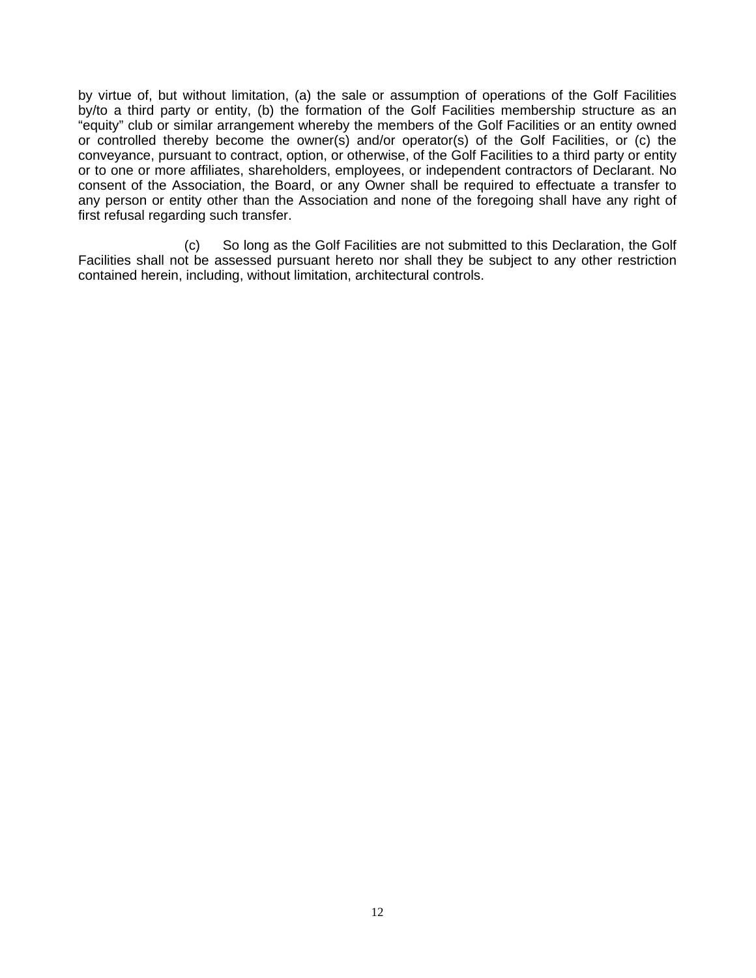by virtue of, but without limitation, (a) the sale or assumption of operations of the Golf Facilities by/to a third party or entity, (b) the formation of the Golf Facilities membership structure as an "equity" club or similar arrangement whereby the members of the Golf Facilities or an entity owned or controlled thereby become the owner(s) and/or operator(s) of the Golf Facilities, or (c) the conveyance, pursuant to contract, option, or otherwise, of the Golf Facilities to a third party or entity or to one or more affiliates, shareholders, employees, or independent contractors of Declarant. No consent of the Association, the Board, or any Owner shall be required to effectuate a transfer to any person or entity other than the Association and none of the foregoing shall have any right of first refusal regarding such transfer.

(c) So long as the Golf Facilities are not submitted to this Declaration, the Golf Facilities shall not be assessed pursuant hereto nor shall they be subject to any other restriction contained herein, including, without limitation, architectural controls.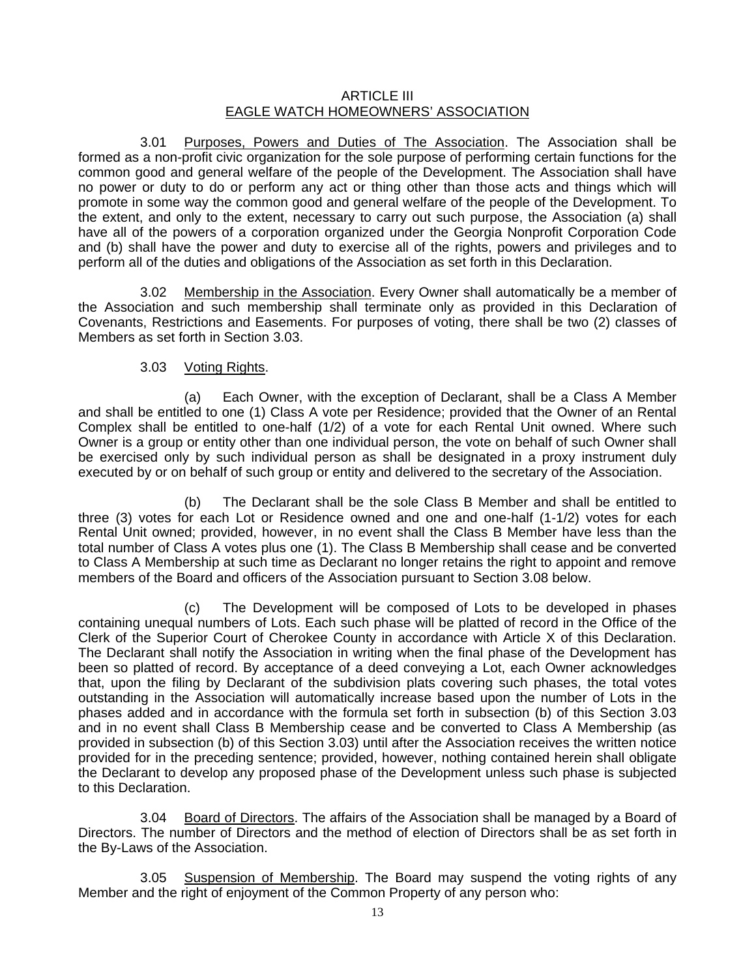## ARTICLE III EAGLE WATCH HOMEOWNERS' ASSOCIATION

3.01 Purposes, Powers and Duties of The Association. The Association shall be formed as a non-profit civic organization for the sole purpose of performing certain functions for the common good and general welfare of the people of the Development. The Association shall have no power or duty to do or perform any act or thing other than those acts and things which will promote in some way the common good and general welfare of the people of the Development. To the extent, and only to the extent, necessary to carry out such purpose, the Association (a) shall have all of the powers of a corporation organized under the Georgia Nonprofit Corporation Code and (b) shall have the power and duty to exercise all of the rights, powers and privileges and to perform all of the duties and obligations of the Association as set forth in this Declaration.

3.02 Membership in the Association. Every Owner shall automatically be a member of the Association and such membership shall terminate only as provided in this Declaration of Covenants, Restrictions and Easements. For purposes of voting, there shall be two (2) classes of Members as set forth in Section 3.03.

## 3.03 Voting Rights.

(a) Each Owner, with the exception of Declarant, shall be a Class A Member and shall be entitled to one (1) Class A vote per Residence; provided that the Owner of an Rental Complex shall be entitled to one-half (1/2) of a vote for each Rental Unit owned. Where such Owner is a group or entity other than one individual person, the vote on behalf of such Owner shall be exercised only by such individual person as shall be designated in a proxy instrument duly executed by or on behalf of such group or entity and delivered to the secretary of the Association.

(b) The Declarant shall be the sole Class B Member and shall be entitled to three (3) votes for each Lot or Residence owned and one and one-half (1-1/2) votes for each Rental Unit owned; provided, however, in no event shall the Class B Member have less than the total number of Class A votes plus one (1). The Class B Membership shall cease and be converted to Class A Membership at such time as Declarant no longer retains the right to appoint and remove members of the Board and officers of the Association pursuant to Section 3.08 below.

(c) The Development will be composed of Lots to be developed in phases containing unequal numbers of Lots. Each such phase will be platted of record in the Office of the Clerk of the Superior Court of Cherokee County in accordance with Article X of this Declaration. The Declarant shall notify the Association in writing when the final phase of the Development has been so platted of record. By acceptance of a deed conveying a Lot, each Owner acknowledges that, upon the filing by Declarant of the subdivision plats covering such phases, the total votes outstanding in the Association will automatically increase based upon the number of Lots in the phases added and in accordance with the formula set forth in subsection (b) of this Section 3.03 and in no event shall Class B Membership cease and be converted to Class A Membership (as provided in subsection (b) of this Section 3.03) until after the Association receives the written notice provided for in the preceding sentence; provided, however, nothing contained herein shall obligate the Declarant to develop any proposed phase of the Development unless such phase is subjected to this Declaration.

3.04 Board of Directors. The affairs of the Association shall be managed by a Board of Directors. The number of Directors and the method of election of Directors shall be as set forth in the By-Laws of the Association.

3.05 Suspension of Membership. The Board may suspend the voting rights of any Member and the right of enjoyment of the Common Property of any person who: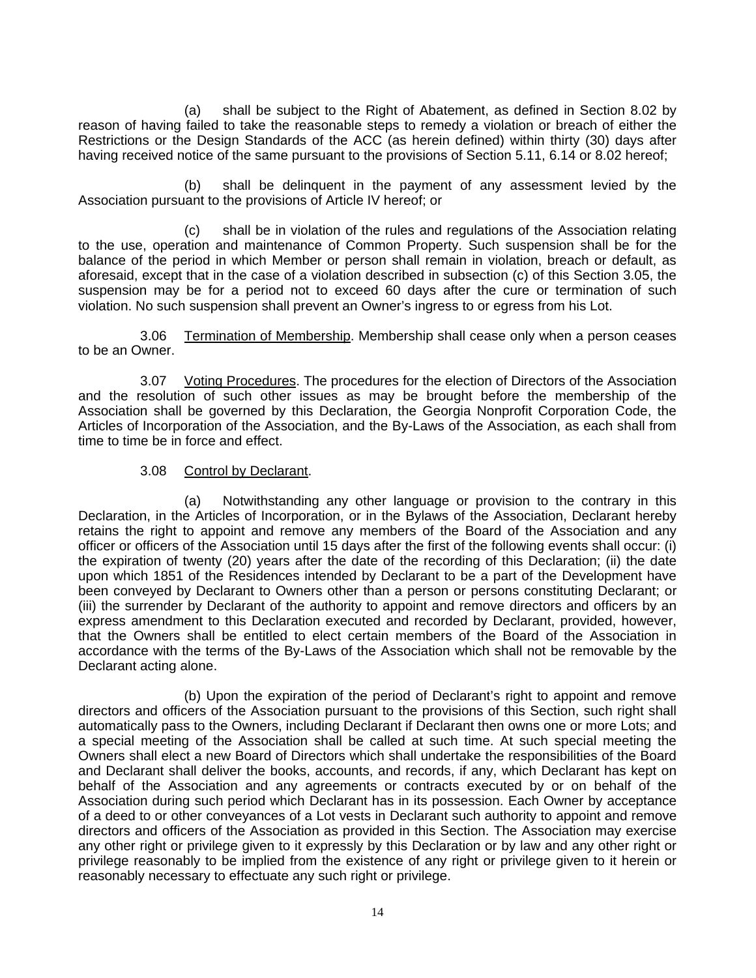(a) shall be subject to the Right of Abatement, as defined in Section 8.02 by reason of having failed to take the reasonable steps to remedy a violation or breach of either the Restrictions or the Design Standards of the ACC (as herein defined) within thirty (30) days after having received notice of the same pursuant to the provisions of Section 5.11, 6.14 or 8.02 hereof;

(b) shall be delinquent in the payment of any assessment levied by the Association pursuant to the provisions of Article IV hereof; or

(c) shall be in violation of the rules and regulations of the Association relating to the use, operation and maintenance of Common Property. Such suspension shall be for the balance of the period in which Member or person shall remain in violation, breach or default, as aforesaid, except that in the case of a violation described in subsection (c) of this Section 3.05, the suspension may be for a period not to exceed 60 days after the cure or termination of such violation. No such suspension shall prevent an Owner's ingress to or egress from his Lot.

3.06 Termination of Membership. Membership shall cease only when a person ceases to be an Owner.

3.07 Voting Procedures. The procedures for the election of Directors of the Association and the resolution of such other issues as may be brought before the membership of the Association shall be governed by this Declaration, the Georgia Nonprofit Corporation Code, the Articles of Incorporation of the Association, and the By-Laws of the Association, as each shall from time to time be in force and effect.

#### 3.08 Control by Declarant.

(a) Notwithstanding any other language or provision to the contrary in this Declaration, in the Articles of Incorporation, or in the Bylaws of the Association, Declarant hereby retains the right to appoint and remove any members of the Board of the Association and any officer or officers of the Association until 15 days after the first of the following events shall occur: (i) the expiration of twenty (20) years after the date of the recording of this Declaration; (ii) the date upon which 1851 of the Residences intended by Declarant to be a part of the Development have been conveyed by Declarant to Owners other than a person or persons constituting Declarant; or (iii) the surrender by Declarant of the authority to appoint and remove directors and officers by an express amendment to this Declaration executed and recorded by Declarant, provided, however, that the Owners shall be entitled to elect certain members of the Board of the Association in accordance with the terms of the By-Laws of the Association which shall not be removable by the Declarant acting alone.

 (b) Upon the expiration of the period of Declarant's right to appoint and remove directors and officers of the Association pursuant to the provisions of this Section, such right shall automatically pass to the Owners, including Declarant if Declarant then owns one or more Lots; and a special meeting of the Association shall be called at such time. At such special meeting the Owners shall elect a new Board of Directors which shall undertake the responsibilities of the Board and Declarant shall deliver the books, accounts, and records, if any, which Declarant has kept on behalf of the Association and any agreements or contracts executed by or on behalf of the Association during such period which Declarant has in its possession. Each Owner by acceptance of a deed to or other conveyances of a Lot vests in Declarant such authority to appoint and remove directors and officers of the Association as provided in this Section. The Association may exercise any other right or privilege given to it expressly by this Declaration or by law and any other right or privilege reasonably to be implied from the existence of any right or privilege given to it herein or reasonably necessary to effectuate any such right or privilege.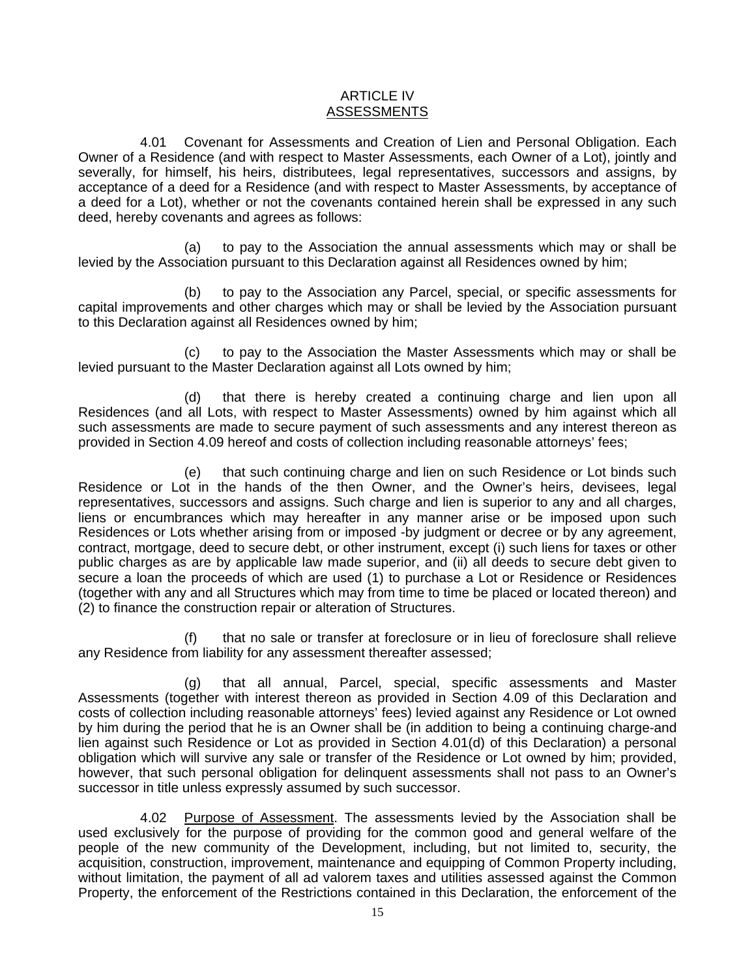#### ARTICLE IV ASSESSMENTS

4.01 Covenant for Assessments and Creation of Lien and Personal Obligation. Each Owner of a Residence (and with respect to Master Assessments, each Owner of a Lot), jointly and severally, for himself, his heirs, distributees, legal representatives, successors and assigns, by acceptance of a deed for a Residence (and with respect to Master Assessments, by acceptance of a deed for a Lot), whether or not the covenants contained herein shall be expressed in any such deed, hereby covenants and agrees as follows:

(a) to pay to the Association the annual assessments which may or shall be levied by the Association pursuant to this Declaration against all Residences owned by him;

(b) to pay to the Association any Parcel, special, or specific assessments for capital improvements and other charges which may or shall be levied by the Association pursuant to this Declaration against all Residences owned by him;

(c) to pay to the Association the Master Assessments which may or shall be levied pursuant to the Master Declaration against all Lots owned by him;

(d) that there is hereby created a continuing charge and lien upon all Residences (and all Lots, with respect to Master Assessments) owned by him against which all such assessments are made to secure payment of such assessments and any interest thereon as provided in Section 4.09 hereof and costs of collection including reasonable attorneys' fees;

(e) that such continuing charge and lien on such Residence or Lot binds such Residence or Lot in the hands of the then Owner, and the Owner's heirs, devisees, legal representatives, successors and assigns. Such charge and lien is superior to any and all charges, liens or encumbrances which may hereafter in any manner arise or be imposed upon such Residences or Lots whether arising from or imposed -by judgment or decree or by any agreement, contract, mortgage, deed to secure debt, or other instrument, except (i) such liens for taxes or other public charges as are by applicable law made superior, and (ii) all deeds to secure debt given to secure a loan the proceeds of which are used (1) to purchase a Lot or Residence or Residences (together with any and all Structures which may from time to time be placed or located thereon) and (2) to finance the construction repair or alteration of Structures.

(f) that no sale or transfer at foreclosure or in lieu of foreclosure shall relieve any Residence from liability for any assessment thereafter assessed;

(g) that all annual, Parcel, special, specific assessments and Master Assessments (together with interest thereon as provided in Section 4.09 of this Declaration and costs of collection including reasonable attorneys' fees) levied against any Residence or Lot owned by him during the period that he is an Owner shall be (in addition to being a continuing charge-and lien against such Residence or Lot as provided in Section 4.01(d) of this Declaration) a personal obligation which will survive any sale or transfer of the Residence or Lot owned by him; provided, however, that such personal obligation for delinquent assessments shall not pass to an Owner's successor in title unless expressly assumed by such successor.

4.02 Purpose of Assessment. The assessments levied by the Association shall be used exclusively for the purpose of providing for the common good and general welfare of the people of the new community of the Development, including, but not limited to, security, the acquisition, construction, improvement, maintenance and equipping of Common Property including, without limitation, the payment of all ad valorem taxes and utilities assessed against the Common Property, the enforcement of the Restrictions contained in this Declaration, the enforcement of the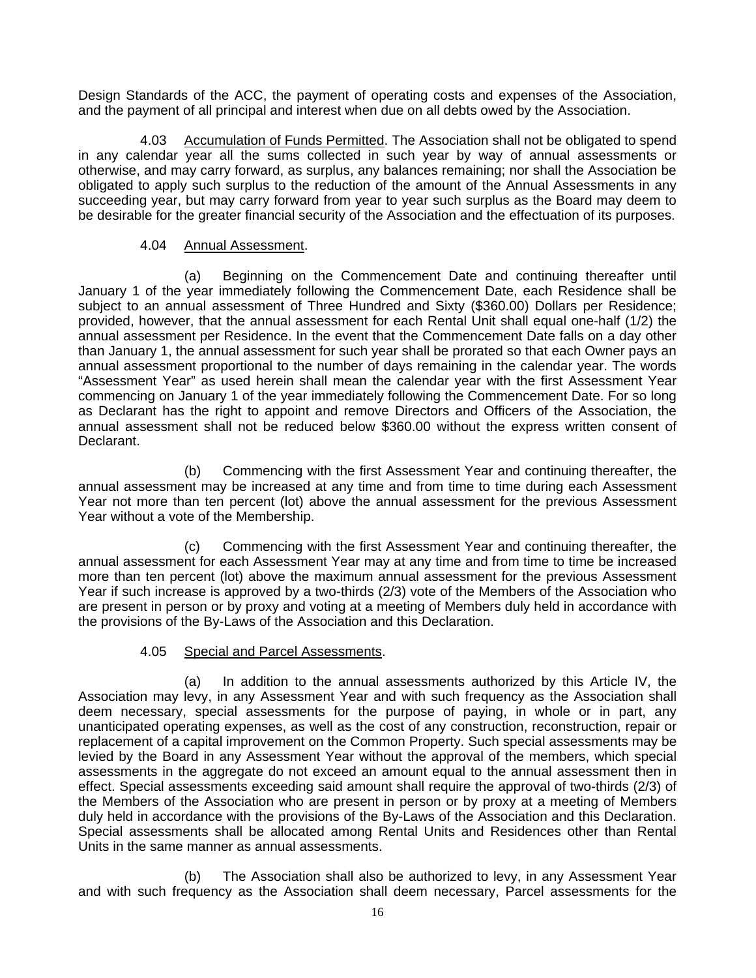Design Standards of the ACC, the payment of operating costs and expenses of the Association, and the payment of all principal and interest when due on all debts owed by the Association.

4.03 Accumulation of Funds Permitted. The Association shall not be obligated to spend in any calendar year all the sums collected in such year by way of annual assessments or otherwise, and may carry forward, as surplus, any balances remaining; nor shall the Association be obligated to apply such surplus to the reduction of the amount of the Annual Assessments in any succeeding year, but may carry forward from year to year such surplus as the Board may deem to be desirable for the greater financial security of the Association and the effectuation of its purposes.

#### 4.04 Annual Assessment.

(a) Beginning on the Commencement Date and continuing thereafter until January 1 of the year immediately following the Commencement Date, each Residence shall be subject to an annual assessment of Three Hundred and Sixty (\$360.00) Dollars per Residence; provided, however, that the annual assessment for each Rental Unit shall equal one-half (1/2) the annual assessment per Residence. In the event that the Commencement Date falls on a day other than January 1, the annual assessment for such year shall be prorated so that each Owner pays an annual assessment proportional to the number of days remaining in the calendar year. The words "Assessment Year" as used herein shall mean the calendar year with the first Assessment Year commencing on January 1 of the year immediately following the Commencement Date. For so long as Declarant has the right to appoint and remove Directors and Officers of the Association, the annual assessment shall not be reduced below \$360.00 without the express written consent of Declarant.

(b) Commencing with the first Assessment Year and continuing thereafter, the annual assessment may be increased at any time and from time to time during each Assessment Year not more than ten percent (lot) above the annual assessment for the previous Assessment Year without a vote of the Membership.

(c) Commencing with the first Assessment Year and continuing thereafter, the annual assessment for each Assessment Year may at any time and from time to time be increased more than ten percent (lot) above the maximum annual assessment for the previous Assessment Year if such increase is approved by a two-thirds (2/3) vote of the Members of the Association who are present in person or by proxy and voting at a meeting of Members duly held in accordance with the provisions of the By-Laws of the Association and this Declaration.

# 4.05 Special and Parcel Assessments.

(a) In addition to the annual assessments authorized by this Article IV, the Association may levy, in any Assessment Year and with such frequency as the Association shall deem necessary, special assessments for the purpose of paying, in whole or in part, any unanticipated operating expenses, as well as the cost of any construction, reconstruction, repair or replacement of a capital improvement on the Common Property. Such special assessments may be levied by the Board in any Assessment Year without the approval of the members, which special assessments in the aggregate do not exceed an amount equal to the annual assessment then in effect. Special assessments exceeding said amount shall require the approval of two-thirds (2/3) of the Members of the Association who are present in person or by proxy at a meeting of Members duly held in accordance with the provisions of the By-Laws of the Association and this Declaration. Special assessments shall be allocated among Rental Units and Residences other than Rental Units in the same manner as annual assessments.

(b) The Association shall also be authorized to levy, in any Assessment Year and with such frequency as the Association shall deem necessary, Parcel assessments for the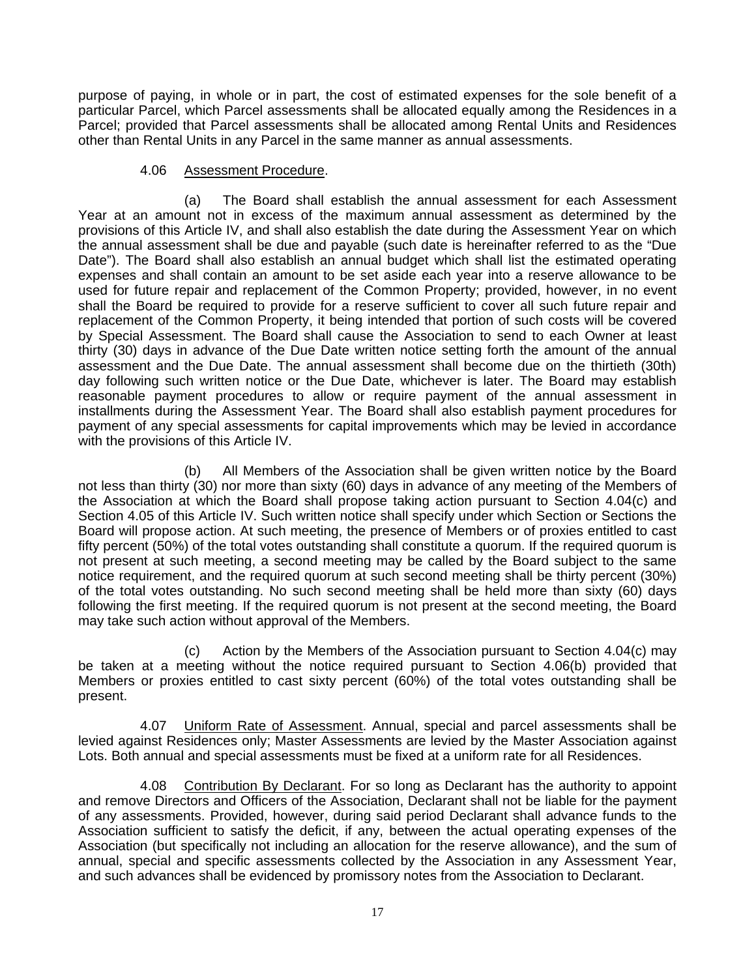purpose of paying, in whole or in part, the cost of estimated expenses for the sole benefit of a particular Parcel, which Parcel assessments shall be allocated equally among the Residences in a Parcel; provided that Parcel assessments shall be allocated among Rental Units and Residences other than Rental Units in any Parcel in the same manner as annual assessments.

#### 4.06 Assessment Procedure.

(a) The Board shall establish the annual assessment for each Assessment Year at an amount not in excess of the maximum annual assessment as determined by the provisions of this Article IV, and shall also establish the date during the Assessment Year on which the annual assessment shall be due and payable (such date is hereinafter referred to as the "Due Date"). The Board shall also establish an annual budget which shall list the estimated operating expenses and shall contain an amount to be set aside each year into a reserve allowance to be used for future repair and replacement of the Common Property; provided, however, in no event shall the Board be required to provide for a reserve sufficient to cover all such future repair and replacement of the Common Property, it being intended that portion of such costs will be covered by Special Assessment. The Board shall cause the Association to send to each Owner at least thirty (30) days in advance of the Due Date written notice setting forth the amount of the annual assessment and the Due Date. The annual assessment shall become due on the thirtieth (30th) day following such written notice or the Due Date, whichever is later. The Board may establish reasonable payment procedures to allow or require payment of the annual assessment in installments during the Assessment Year. The Board shall also establish payment procedures for payment of any special assessments for capital improvements which may be levied in accordance with the provisions of this Article IV.

(b) All Members of the Association shall be given written notice by the Board not less than thirty (30) nor more than sixty (60) days in advance of any meeting of the Members of the Association at which the Board shall propose taking action pursuant to Section 4.04(c) and Section 4.05 of this Article IV. Such written notice shall specify under which Section or Sections the Board will propose action. At such meeting, the presence of Members or of proxies entitled to cast fifty percent (50%) of the total votes outstanding shall constitute a quorum. If the required quorum is not present at such meeting, a second meeting may be called by the Board subject to the same notice requirement, and the required quorum at such second meeting shall be thirty percent (30%) of the total votes outstanding. No such second meeting shall be held more than sixty (60) days following the first meeting. If the required quorum is not present at the second meeting, the Board may take such action without approval of the Members.

(c) Action by the Members of the Association pursuant to Section 4.04(c) may be taken at a meeting without the notice required pursuant to Section 4.06(b) provided that Members or proxies entitled to cast sixty percent (60%) of the total votes outstanding shall be present.

4.07 Uniform Rate of Assessment. Annual, special and parcel assessments shall be levied against Residences only; Master Assessments are levied by the Master Association against Lots. Both annual and special assessments must be fixed at a uniform rate for all Residences.

4.08 Contribution By Declarant. For so long as Declarant has the authority to appoint and remove Directors and Officers of the Association, Declarant shall not be liable for the payment of any assessments. Provided, however, during said period Declarant shall advance funds to the Association sufficient to satisfy the deficit, if any, between the actual operating expenses of the Association (but specifically not including an allocation for the reserve allowance), and the sum of annual, special and specific assessments collected by the Association in any Assessment Year, and such advances shall be evidenced by promissory notes from the Association to Declarant.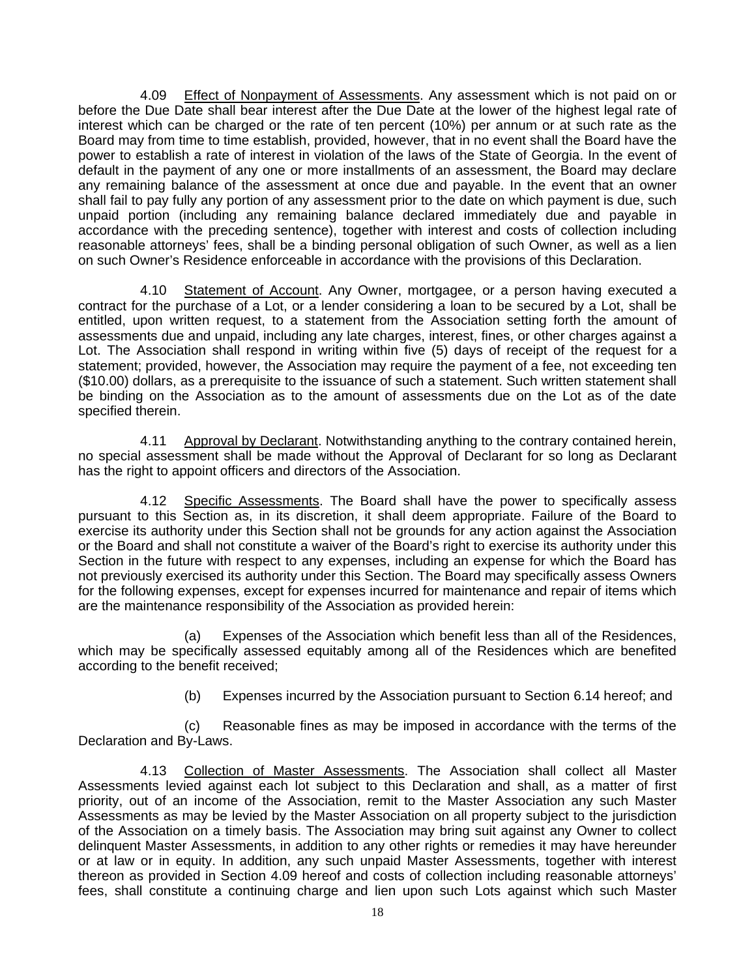4.09 Effect of Nonpayment of Assessments. Any assessment which is not paid on or before the Due Date shall bear interest after the Due Date at the lower of the highest legal rate of interest which can be charged or the rate of ten percent (10%) per annum or at such rate as the Board may from time to time establish, provided, however, that in no event shall the Board have the power to establish a rate of interest in violation of the laws of the State of Georgia. In the event of default in the payment of any one or more installments of an assessment, the Board may declare any remaining balance of the assessment at once due and payable. In the event that an owner shall fail to pay fully any portion of any assessment prior to the date on which payment is due, such unpaid portion (including any remaining balance declared immediately due and payable in accordance with the preceding sentence), together with interest and costs of collection including reasonable attorneys' fees, shall be a binding personal obligation of such Owner, as well as a lien on such Owner's Residence enforceable in accordance with the provisions of this Declaration.

4.10 Statement of Account. Any Owner, mortgagee, or a person having executed a contract for the purchase of a Lot, or a lender considering a loan to be secured by a Lot, shall be entitled, upon written request, to a statement from the Association setting forth the amount of assessments due and unpaid, including any late charges, interest, fines, or other charges against a Lot. The Association shall respond in writing within five (5) days of receipt of the request for a statement; provided, however, the Association may require the payment of a fee, not exceeding ten (\$10.00) dollars, as a prerequisite to the issuance of such a statement. Such written statement shall be binding on the Association as to the amount of assessments due on the Lot as of the date specified therein.

4.11 Approval by Declarant. Notwithstanding anything to the contrary contained herein, no special assessment shall be made without the Approval of Declarant for so long as Declarant has the right to appoint officers and directors of the Association.

4.12 Specific Assessments. The Board shall have the power to specifically assess pursuant to this Section as, in its discretion, it shall deem appropriate. Failure of the Board to exercise its authority under this Section shall not be grounds for any action against the Association or the Board and shall not constitute a waiver of the Board's right to exercise its authority under this Section in the future with respect to any expenses, including an expense for which the Board has not previously exercised its authority under this Section. The Board may specifically assess Owners for the following expenses, except for expenses incurred for maintenance and repair of items which are the maintenance responsibility of the Association as provided herein:

(a) Expenses of the Association which benefit less than all of the Residences, which may be specifically assessed equitably among all of the Residences which are benefited according to the benefit received;

(b) Expenses incurred by the Association pursuant to Section 6.14 hereof; and

(c) Reasonable fines as may be imposed in accordance with the terms of the Declaration and By-Laws.

4.13 Collection of Master Assessments. The Association shall collect all Master Assessments levied against each lot subject to this Declaration and shall, as a matter of first priority, out of an income of the Association, remit to the Master Association any such Master Assessments as may be levied by the Master Association on all property subject to the jurisdiction of the Association on a timely basis. The Association may bring suit against any Owner to collect delinquent Master Assessments, in addition to any other rights or remedies it may have hereunder or at law or in equity. In addition, any such unpaid Master Assessments, together with interest thereon as provided in Section 4.09 hereof and costs of collection including reasonable attorneys' fees, shall constitute a continuing charge and lien upon such Lots against which such Master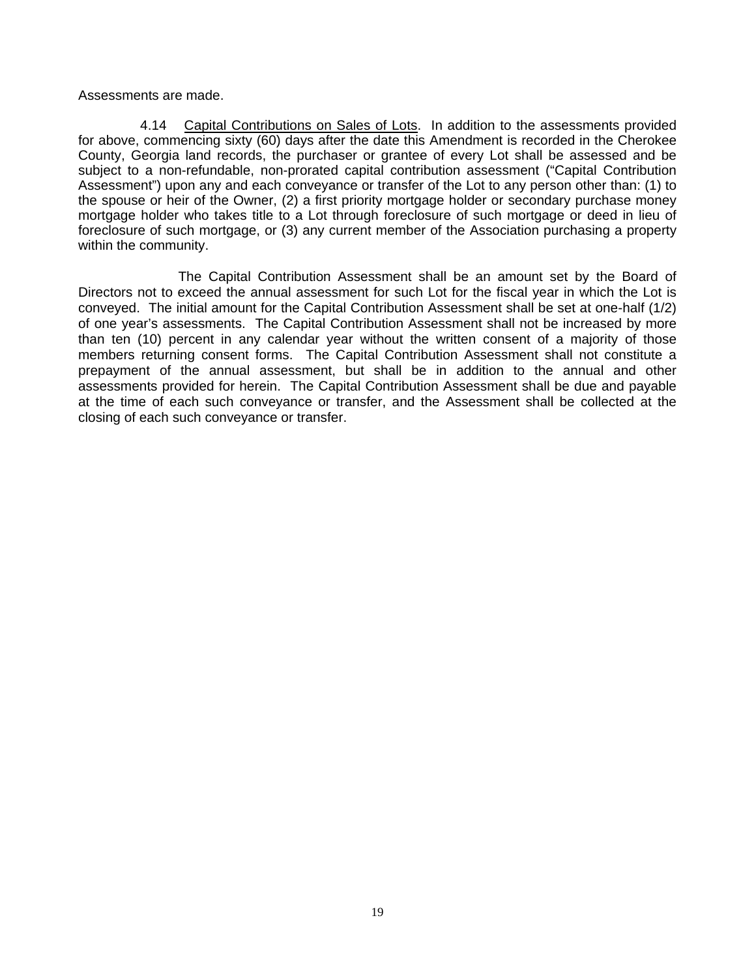Assessments are made.

4.14 Capital Contributions on Sales of Lots. In addition to the assessments provided for above, commencing sixty (60) days after the date this Amendment is recorded in the Cherokee County, Georgia land records, the purchaser or grantee of every Lot shall be assessed and be subject to a non-refundable, non-prorated capital contribution assessment ("Capital Contribution Assessment") upon any and each conveyance or transfer of the Lot to any person other than: (1) to the spouse or heir of the Owner, (2) a first priority mortgage holder or secondary purchase money mortgage holder who takes title to a Lot through foreclosure of such mortgage or deed in lieu of foreclosure of such mortgage, or (3) any current member of the Association purchasing a property within the community.

The Capital Contribution Assessment shall be an amount set by the Board of Directors not to exceed the annual assessment for such Lot for the fiscal year in which the Lot is conveyed. The initial amount for the Capital Contribution Assessment shall be set at one-half (1/2) of one year's assessments. The Capital Contribution Assessment shall not be increased by more than ten (10) percent in any calendar year without the written consent of a majority of those members returning consent forms. The Capital Contribution Assessment shall not constitute a prepayment of the annual assessment, but shall be in addition to the annual and other assessments provided for herein. The Capital Contribution Assessment shall be due and payable at the time of each such conveyance or transfer, and the Assessment shall be collected at the closing of each such conveyance or transfer.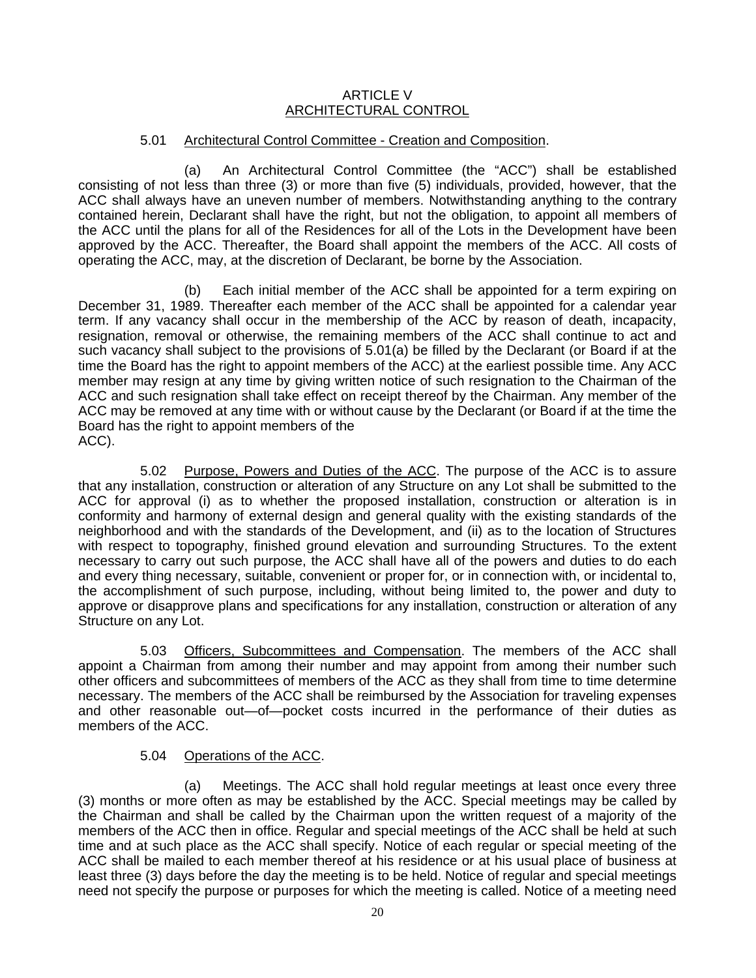#### ARTICLE V ARCHITECTURAL CONTROL

#### 5.01 Architectural Control Committee - Creation and Composition.

(a) An Architectural Control Committee (the "ACC") shall be established consisting of not less than three (3) or more than five (5) individuals, provided, however, that the ACC shall always have an uneven number of members. Notwithstanding anything to the contrary contained herein, Declarant shall have the right, but not the obligation, to appoint all members of the ACC until the plans for all of the Residences for all of the Lots in the Development have been approved by the ACC. Thereafter, the Board shall appoint the members of the ACC. All costs of operating the ACC, may, at the discretion of Declarant, be borne by the Association.

(b) Each initial member of the ACC shall be appointed for a term expiring on December 31, 1989. Thereafter each member of the ACC shall be appointed for a calendar year term. If any vacancy shall occur in the membership of the ACC by reason of death, incapacity, resignation, removal or otherwise, the remaining members of the ACC shall continue to act and such vacancy shall subject to the provisions of 5.01(a) be filled by the Declarant (or Board if at the time the Board has the right to appoint members of the ACC) at the earliest possible time. Any ACC member may resign at any time by giving written notice of such resignation to the Chairman of the ACC and such resignation shall take effect on receipt thereof by the Chairman. Any member of the ACC may be removed at any time with or without cause by the Declarant (or Board if at the time the Board has the right to appoint members of the ACC).

5.02 Purpose, Powers and Duties of the ACC. The purpose of the ACC is to assure that any installation, construction or alteration of any Structure on any Lot shall be submitted to the ACC for approval (i) as to whether the proposed installation, construction or alteration is in conformity and harmony of external design and general quality with the existing standards of the neighborhood and with the standards of the Development, and (ii) as to the location of Structures with respect to topography, finished ground elevation and surrounding Structures. To the extent necessary to carry out such purpose, the ACC shall have all of the powers and duties to do each and every thing necessary, suitable, convenient or proper for, or in connection with, or incidental to, the accomplishment of such purpose, including, without being limited to, the power and duty to approve or disapprove plans and specifications for any installation, construction or alteration of any Structure on any Lot.

5.03 Officers, Subcommittees and Compensation. The members of the ACC shall appoint a Chairman from among their number and may appoint from among their number such other officers and subcommittees of members of the ACC as they shall from time to time determine necessary. The members of the ACC shall be reimbursed by the Association for traveling expenses and other reasonable out—of—pocket costs incurred in the performance of their duties as members of the ACC.

#### 5.04 Operations of the ACC.

(a) Meetings. The ACC shall hold regular meetings at least once every three (3) months or more often as may be established by the ACC. Special meetings may be called by the Chairman and shall be called by the Chairman upon the written request of a majority of the members of the ACC then in office. Regular and special meetings of the ACC shall be held at such time and at such place as the ACC shall specify. Notice of each regular or special meeting of the ACC shall be mailed to each member thereof at his residence or at his usual place of business at least three (3) days before the day the meeting is to be held. Notice of regular and special meetings need not specify the purpose or purposes for which the meeting is called. Notice of a meeting need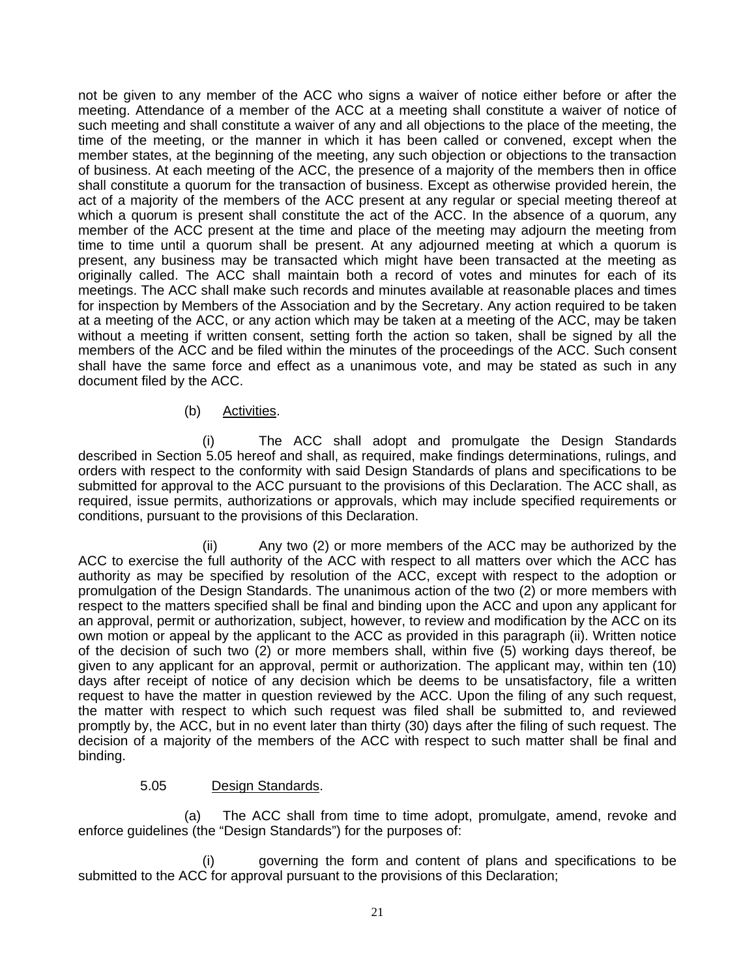not be given to any member of the ACC who signs a waiver of notice either before or after the meeting. Attendance of a member of the ACC at a meeting shall constitute a waiver of notice of such meeting and shall constitute a waiver of any and all objections to the place of the meeting, the time of the meeting, or the manner in which it has been called or convened, except when the member states, at the beginning of the meeting, any such objection or objections to the transaction of business. At each meeting of the ACC, the presence of a majority of the members then in office shall constitute a quorum for the transaction of business. Except as otherwise provided herein, the act of a majority of the members of the ACC present at any regular or special meeting thereof at which a quorum is present shall constitute the act of the ACC. In the absence of a quorum, any member of the ACC present at the time and place of the meeting may adjourn the meeting from time to time until a quorum shall be present. At any adjourned meeting at which a quorum is present, any business may be transacted which might have been transacted at the meeting as originally called. The ACC shall maintain both a record of votes and minutes for each of its meetings. The ACC shall make such records and minutes available at reasonable places and times for inspection by Members of the Association and by the Secretary. Any action required to be taken at a meeting of the ACC, or any action which may be taken at a meeting of the ACC, may be taken without a meeting if written consent, setting forth the action so taken, shall be signed by all the members of the ACC and be filed within the minutes of the proceedings of the ACC. Such consent shall have the same force and effect as a unanimous vote, and may be stated as such in any document filed by the ACC.

# (b) Activities.

(i) The ACC shall adopt and promulgate the Design Standards described in Section 5.05 hereof and shall, as required, make findings determinations, rulings, and orders with respect to the conformity with said Design Standards of plans and specifications to be submitted for approval to the ACC pursuant to the provisions of this Declaration. The ACC shall, as required, issue permits, authorizations or approvals, which may include specified requirements or conditions, pursuant to the provisions of this Declaration.

(ii) Any two (2) or more members of the ACC may be authorized by the ACC to exercise the full authority of the ACC with respect to all matters over which the ACC has authority as may be specified by resolution of the ACC, except with respect to the adoption or promulgation of the Design Standards. The unanimous action of the two (2) or more members with respect to the matters specified shall be final and binding upon the ACC and upon any applicant for an approval, permit or authorization, subject, however, to review and modification by the ACC on its own motion or appeal by the applicant to the ACC as provided in this paragraph (ii). Written notice of the decision of such two (2) or more members shall, within five (5) working days thereof, be given to any applicant for an approval, permit or authorization. The applicant may, within ten (10) days after receipt of notice of any decision which be deems to be unsatisfactory, file a written request to have the matter in question reviewed by the ACC. Upon the filing of any such request, the matter with respect to which such request was filed shall be submitted to, and reviewed promptly by, the ACC, but in no event later than thirty (30) days after the filing of such request. The decision of a majority of the members of the ACC with respect to such matter shall be final and binding.

# 5.05 Design Standards.

(a) The ACC shall from time to time adopt, promulgate, amend, revoke and enforce guidelines (the "Design Standards") for the purposes of:

(i) governing the form and content of plans and specifications to be submitted to the ACC for approval pursuant to the provisions of this Declaration;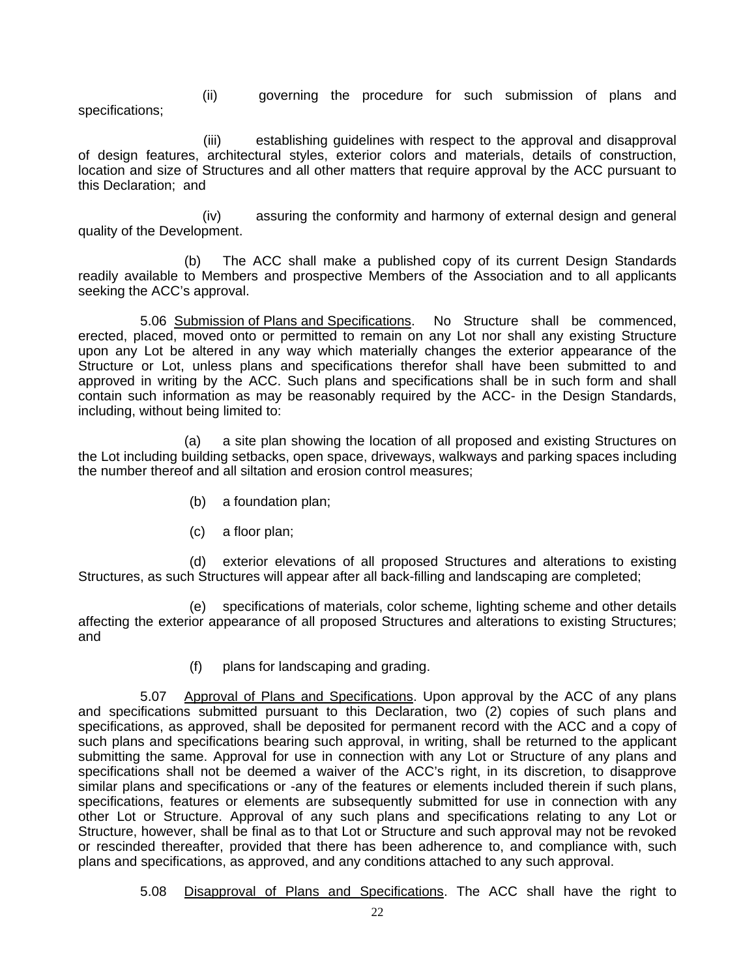(ii) governing the procedure for such submission of plans and specifications;

 (iii) establishing guidelines with respect to the approval and disapproval of design features, architectural styles, exterior colors and materials, details of construction, location and size of Structures and all other matters that require approval by the ACC pursuant to this Declaration; and

(iv) assuring the conformity and harmony of external design and general quality of the Development.

(b) The ACC shall make a published copy of its current Design Standards readily available to Members and prospective Members of the Association and to all applicants seeking the ACC's approval.

5.06 Submission of Plans and Specifications. No Structure shall be commenced, erected, placed, moved onto or permitted to remain on any Lot nor shall any existing Structure upon any Lot be altered in any way which materially changes the exterior appearance of the Structure or Lot, unless plans and specifications therefor shall have been submitted to and approved in writing by the ACC. Such plans and specifications shall be in such form and shall contain such information as may be reasonably required by the ACC- in the Design Standards, including, without being limited to:

(a) a site plan showing the location of all proposed and existing Structures on the Lot including building setbacks, open space, driveways, walkways and parking spaces including the number thereof and all siltation and erosion control measures;

- (b) a foundation plan;
- (c) a floor plan;

(d) exterior elevations of all proposed Structures and alterations to existing Structures, as such Structures will appear after all back-filling and landscaping are completed;

(e) specifications of materials, color scheme, lighting scheme and other details affecting the exterior appearance of all proposed Structures and alterations to existing Structures; and

(f) plans for landscaping and grading.

5.07 Approval of Plans and Specifications. Upon approval by the ACC of any plans and specifications submitted pursuant to this Declaration, two (2) copies of such plans and specifications, as approved, shall be deposited for permanent record with the ACC and a copy of such plans and specifications bearing such approval, in writing, shall be returned to the applicant submitting the same. Approval for use in connection with any Lot or Structure of any plans and specifications shall not be deemed a waiver of the ACC's right, in its discretion, to disapprove similar plans and specifications or -any of the features or elements included therein if such plans, specifications, features or elements are subsequently submitted for use in connection with any other Lot or Structure. Approval of any such plans and specifications relating to any Lot or Structure, however, shall be final as to that Lot or Structure and such approval may not be revoked or rescinded thereafter, provided that there has been adherence to, and compliance with, such plans and specifications, as approved, and any conditions attached to any such approval.

5.08 Disapproval of Plans and Specifications. The ACC shall have the right to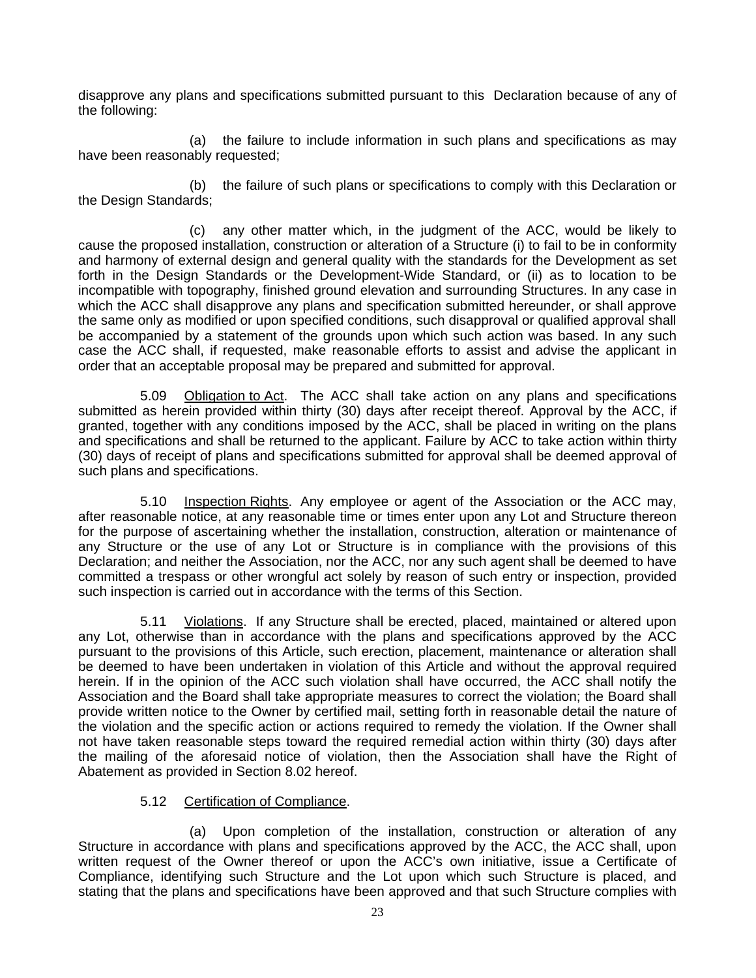disapprove any plans and specifications submitted pursuant to this Declaration because of any of the following:

(a) the failure to include information in such plans and specifications as may have been reasonably requested;

(b) the failure of such plans or specifications to comply with this Declaration or the Design Standards;

(c) any other matter which, in the judgment of the ACC, would be likely to cause the proposed installation, construction or alteration of a Structure (i) to fail to be in conformity and harmony of external design and general quality with the standards for the Development as set forth in the Design Standards or the Development-Wide Standard, or (ii) as to location to be incompatible with topography, finished ground elevation and surrounding Structures. In any case in which the ACC shall disapprove any plans and specification submitted hereunder, or shall approve the same only as modified or upon specified conditions, such disapproval or qualified approval shall be accompanied by a statement of the grounds upon which such action was based. In any such case the ACC shall, if requested, make reasonable efforts to assist and advise the applicant in order that an acceptable proposal may be prepared and submitted for approval.

5.09 Obligation to Act. The ACC shall take action on any plans and specifications submitted as herein provided within thirty (30) days after receipt thereof. Approval by the ACC, if granted, together with any conditions imposed by the ACC, shall be placed in writing on the plans and specifications and shall be returned to the applicant. Failure by ACC to take action within thirty (30) days of receipt of plans and specifications submitted for approval shall be deemed approval of such plans and specifications.

5.10 Inspection Rights. Any employee or agent of the Association or the ACC may, after reasonable notice, at any reasonable time or times enter upon any Lot and Structure thereon for the purpose of ascertaining whether the installation, construction, alteration or maintenance of any Structure or the use of any Lot or Structure is in compliance with the provisions of this Declaration; and neither the Association, nor the ACC, nor any such agent shall be deemed to have committed a trespass or other wrongful act solely by reason of such entry or inspection, provided such inspection is carried out in accordance with the terms of this Section.

5.11 Violations. If any Structure shall be erected, placed, maintained or altered upon any Lot, otherwise than in accordance with the plans and specifications approved by the ACC pursuant to the provisions of this Article, such erection, placement, maintenance or alteration shall be deemed to have been undertaken in violation of this Article and without the approval required herein. If in the opinion of the ACC such violation shall have occurred, the ACC shall notify the Association and the Board shall take appropriate measures to correct the violation; the Board shall provide written notice to the Owner by certified mail, setting forth in reasonable detail the nature of the violation and the specific action or actions required to remedy the violation. If the Owner shall not have taken reasonable steps toward the required remedial action within thirty (30) days after the mailing of the aforesaid notice of violation, then the Association shall have the Right of Abatement as provided in Section 8.02 hereof.

# 5.12 Certification of Compliance.

(a) Upon completion of the installation, construction or alteration of any Structure in accordance with plans and specifications approved by the ACC, the ACC shall, upon written request of the Owner thereof or upon the ACC's own initiative, issue a Certificate of Compliance, identifying such Structure and the Lot upon which such Structure is placed, and stating that the plans and specifications have been approved and that such Structure complies with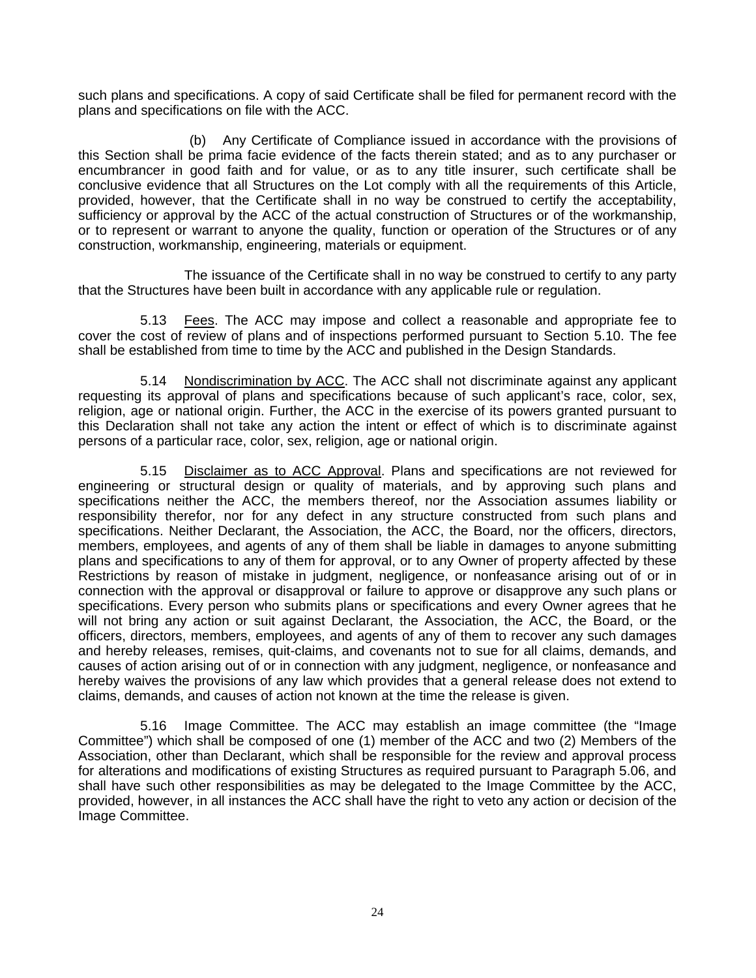such plans and specifications. A copy of said Certificate shall be filed for permanent record with the plans and specifications on file with the ACC.

(b) Any Certificate of Compliance issued in accordance with the provisions of this Section shall be prima facie evidence of the facts therein stated; and as to any purchaser or encumbrancer in good faith and for value, or as to any title insurer, such certificate shall be conclusive evidence that all Structures on the Lot comply with all the requirements of this Article, provided, however, that the Certificate shall in no way be construed to certify the acceptability, sufficiency or approval by the ACC of the actual construction of Structures or of the workmanship, or to represent or warrant to anyone the quality, function or operation of the Structures or of any construction, workmanship, engineering, materials or equipment.

The issuance of the Certificate shall in no way be construed to certify to any party that the Structures have been built in accordance with any applicable rule or regulation.

5.13 Fees. The ACC may impose and collect a reasonable and appropriate fee to cover the cost of review of plans and of inspections performed pursuant to Section 5.10. The fee shall be established from time to time by the ACC and published in the Design Standards.

5.14 Nondiscrimination by ACC. The ACC shall not discriminate against any applicant requesting its approval of plans and specifications because of such applicant's race, color, sex, religion, age or national origin. Further, the ACC in the exercise of its powers granted pursuant to this Declaration shall not take any action the intent or effect of which is to discriminate against persons of a particular race, color, sex, religion, age or national origin.

5.15 Disclaimer as to ACC Approval. Plans and specifications are not reviewed for engineering or structural design or quality of materials, and by approving such plans and specifications neither the ACC, the members thereof, nor the Association assumes liability or responsibility therefor, nor for any defect in any structure constructed from such plans and specifications. Neither Declarant, the Association, the ACC, the Board, nor the officers, directors, members, employees, and agents of any of them shall be liable in damages to anyone submitting plans and specifications to any of them for approval, or to any Owner of property affected by these Restrictions by reason of mistake in judgment, negligence, or nonfeasance arising out of or in connection with the approval or disapproval or failure to approve or disapprove any such plans or specifications. Every person who submits plans or specifications and every Owner agrees that he will not bring any action or suit against Declarant, the Association, the ACC, the Board, or the officers, directors, members, employees, and agents of any of them to recover any such damages and hereby releases, remises, quit-claims, and covenants not to sue for all claims, demands, and causes of action arising out of or in connection with any judgment, negligence, or nonfeasance and hereby waives the provisions of any law which provides that a general release does not extend to claims, demands, and causes of action not known at the time the release is given.

5.16 Image Committee. The ACC may establish an image committee (the "Image Committee") which shall be composed of one (1) member of the ACC and two (2) Members of the Association, other than Declarant, which shall be responsible for the review and approval process for alterations and modifications of existing Structures as required pursuant to Paragraph 5.06, and shall have such other responsibilities as may be delegated to the Image Committee by the ACC, provided, however, in all instances the ACC shall have the right to veto any action or decision of the Image Committee.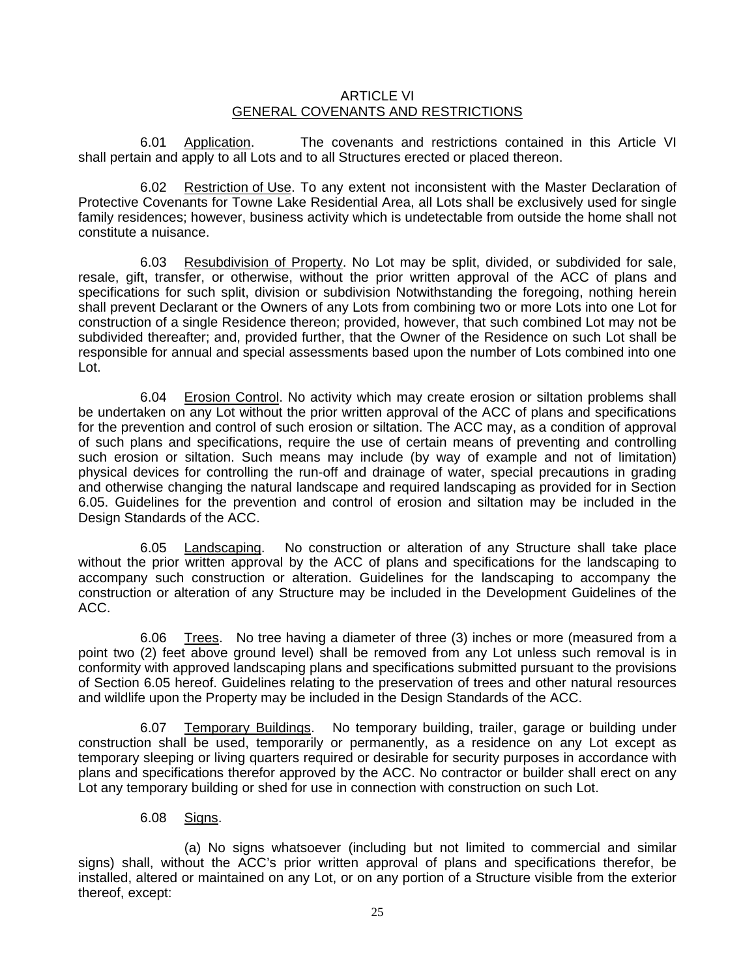#### ARTICLE VI GENERAL COVENANTS AND RESTRICTIONS

6.01 Application. The covenants and restrictions contained in this Article VI shall pertain and apply to all Lots and to all Structures erected or placed thereon.

6.02 Restriction of Use. To any extent not inconsistent with the Master Declaration of Protective Covenants for Towne Lake Residential Area, all Lots shall be exclusively used for single family residences; however, business activity which is undetectable from outside the home shall not constitute a nuisance.

6.03 Resubdivision of Property. No Lot may be split, divided, or subdivided for sale, resale, gift, transfer, or otherwise, without the prior written approval of the ACC of plans and specifications for such split, division or subdivision Notwithstanding the foregoing, nothing herein shall prevent Declarant or the Owners of any Lots from combining two or more Lots into one Lot for construction of a single Residence thereon; provided, however, that such combined Lot may not be subdivided thereafter; and, provided further, that the Owner of the Residence on such Lot shall be responsible for annual and special assessments based upon the number of Lots combined into one Lot.

6.04 Erosion Control. No activity which may create erosion or siltation problems shall be undertaken on any Lot without the prior written approval of the ACC of plans and specifications for the prevention and control of such erosion or siltation. The ACC may, as a condition of approval of such plans and specifications, require the use of certain means of preventing and controlling such erosion or siltation. Such means may include (by way of example and not of limitation) physical devices for controlling the run-off and drainage of water, special precautions in grading and otherwise changing the natural landscape and required landscaping as provided for in Section 6.05. Guidelines for the prevention and control of erosion and siltation may be included in the Design Standards of the ACC.

6.05 Landscaping. No construction or alteration of any Structure shall take place without the prior written approval by the ACC of plans and specifications for the landscaping to accompany such construction or alteration. Guidelines for the landscaping to accompany the construction or alteration of any Structure may be included in the Development Guidelines of the ACC.

6.06 Trees. No tree having a diameter of three (3) inches or more (measured from a point two (2) feet above ground level) shall be removed from any Lot unless such removal is in conformity with approved landscaping plans and specifications submitted pursuant to the provisions of Section 6.05 hereof. Guidelines relating to the preservation of trees and other natural resources and wildlife upon the Property may be included in the Design Standards of the ACC.

6.07 Temporary Buildings. No temporary building, trailer, garage or building under construction shall be used, temporarily or permanently, as a residence on any Lot except as temporary sleeping or living quarters required or desirable for security purposes in accordance with plans and specifications therefor approved by the ACC. No contractor or builder shall erect on any Lot any temporary building or shed for use in connection with construction on such Lot.

# 6.08 Signs.

(a) No signs whatsoever (including but not limited to commercial and similar signs) shall, without the ACC's prior written approval of plans and specifications therefor, be installed, altered or maintained on any Lot, or on any portion of a Structure visible from the exterior thereof, except: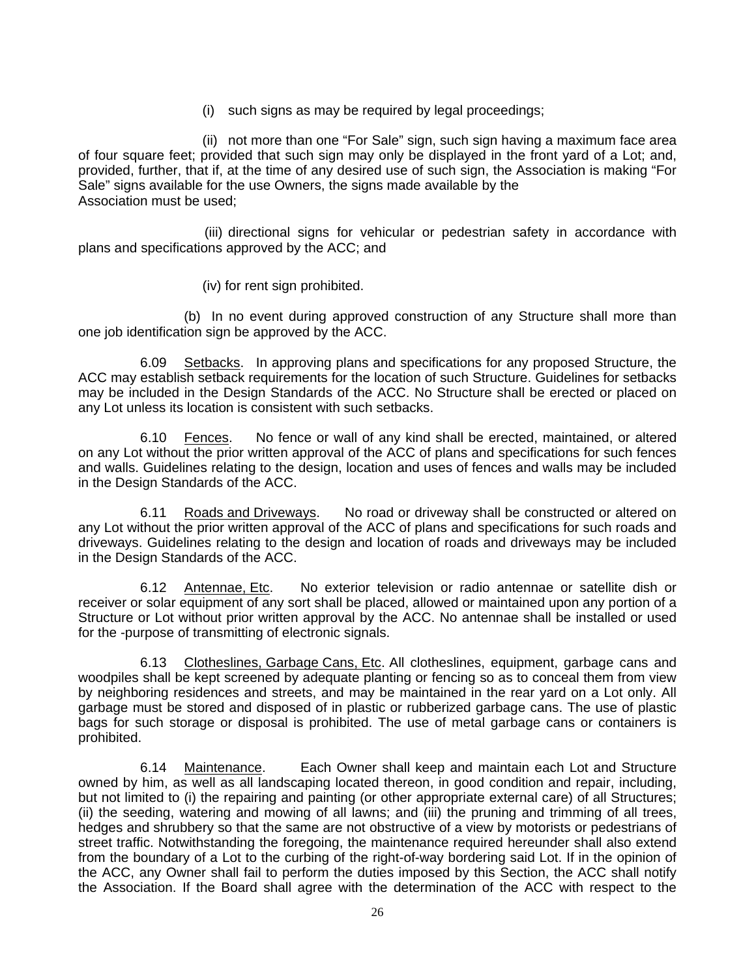(i) such signs as may be required by legal proceedings;

(ii) not more than one "For Sale" sign, such sign having a maximum face area of four square feet; provided that such sign may only be displayed in the front yard of a Lot; and, provided, further, that if, at the time of any desired use of such sign, the Association is making "For Sale" signs available for the use Owners, the signs made available by the Association must be used;

 (iii) directional signs for vehicular or pedestrian safety in accordance with plans and specifications approved by the ACC; and

(iv) for rent sign prohibited.

(b) In no event during approved construction of any Structure shall more than one job identification sign be approved by the ACC.

6.09 Setbacks. In approving plans and specifications for any proposed Structure, the ACC may establish setback requirements for the location of such Structure. Guidelines for setbacks may be included in the Design Standards of the ACC. No Structure shall be erected or placed on any Lot unless its location is consistent with such setbacks.

6.10 Fences. No fence or wall of any kind shall be erected, maintained, or altered on any Lot without the prior written approval of the ACC of plans and specifications for such fences and walls. Guidelines relating to the design, location and uses of fences and walls may be included in the Design Standards of the ACC.

6.11 Roads and Driveways. No road or driveway shall be constructed or altered on any Lot without the prior written approval of the ACC of plans and specifications for such roads and driveways. Guidelines relating to the design and location of roads and driveways may be included in the Design Standards of the ACC.

6.12 Antennae, Etc. No exterior television or radio antennae or satellite dish or receiver or solar equipment of any sort shall be placed, allowed or maintained upon any portion of a Structure or Lot without prior written approval by the ACC. No antennae shall be installed or used for the -purpose of transmitting of electronic signals.

6.13 Clotheslines, Garbage Cans, Etc. All clotheslines, equipment, garbage cans and woodpiles shall be kept screened by adequate planting or fencing so as to conceal them from view by neighboring residences and streets, and may be maintained in the rear yard on a Lot only. All garbage must be stored and disposed of in plastic or rubberized garbage cans. The use of plastic bags for such storage or disposal is prohibited. The use of metal garbage cans or containers is prohibited.

6.14 Maintenance. Each Owner shall keep and maintain each Lot and Structure owned by him, as well as all landscaping located thereon, in good condition and repair, including, but not limited to (i) the repairing and painting (or other appropriate external care) of all Structures; (ii) the seeding, watering and mowing of all lawns; and (iii) the pruning and trimming of all trees, hedges and shrubbery so that the same are not obstructive of a view by motorists or pedestrians of street traffic. Notwithstanding the foregoing, the maintenance required hereunder shall also extend from the boundary of a Lot to the curbing of the right-of-way bordering said Lot. If in the opinion of the ACC, any Owner shall fail to perform the duties imposed by this Section, the ACC shall notify the Association. If the Board shall agree with the determination of the ACC with respect to the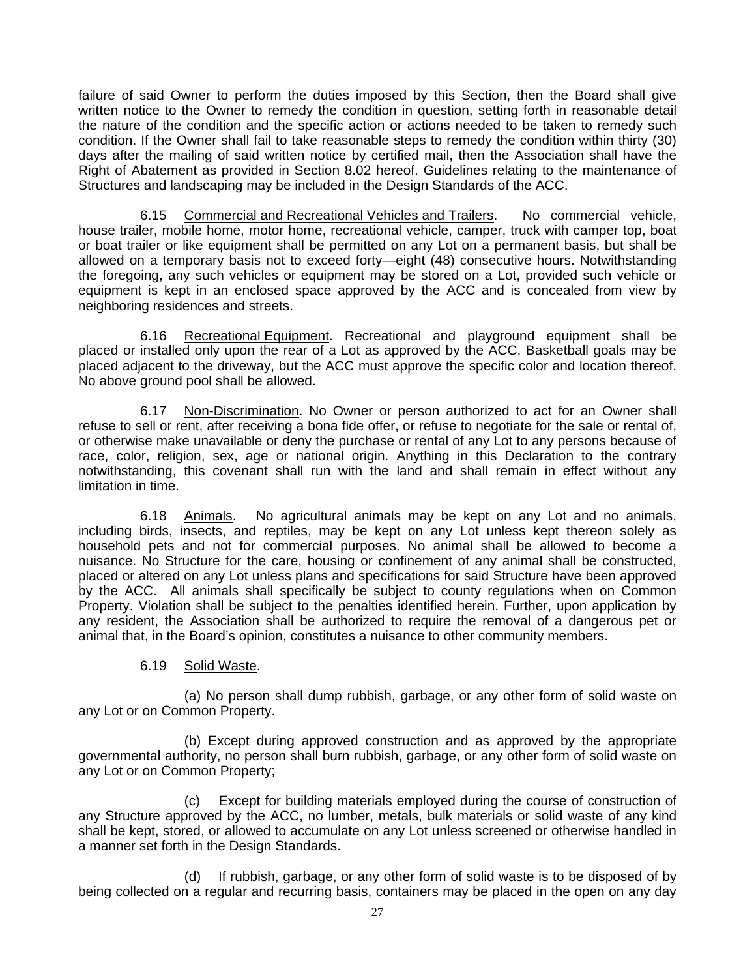failure of said Owner to perform the duties imposed by this Section, then the Board shall give written notice to the Owner to remedy the condition in question, setting forth in reasonable detail the nature of the condition and the specific action or actions needed to be taken to remedy such condition. If the Owner shall fail to take reasonable steps to remedy the condition within thirty (30) days after the mailing of said written notice by certified mail, then the Association shall have the Right of Abatement as provided in Section 8.02 hereof. Guidelines relating to the maintenance of Structures and landscaping may be included in the Design Standards of the ACC.

6.15 Commercial and Recreational Vehicles and Trailers. No commercial vehicle, house trailer, mobile home, motor home, recreational vehicle, camper, truck with camper top, boat or boat trailer or like equipment shall be permitted on any Lot on a permanent basis, but shall be allowed on a temporary basis not to exceed forty—eight (48) consecutive hours. Notwithstanding the foregoing, any such vehicles or equipment may be stored on a Lot, provided such vehicle or equipment is kept in an enclosed space approved by the ACC and is concealed from view by neighboring residences and streets.

6.16 Recreational Equipment. Recreational and playground equipment shall be placed or installed only upon the rear of a Lot as approved by the ACC. Basketball goals may be placed adjacent to the driveway, but the ACC must approve the specific color and location thereof. No above ground pool shall be allowed.

6.17 Non-Discrimination. No Owner or person authorized to act for an Owner shall refuse to sell or rent, after receiving a bona fide offer, or refuse to negotiate for the sale or rental of, or otherwise make unavailable or deny the purchase or rental of any Lot to any persons because of race, color, religion, sex, age or national origin. Anything in this Declaration to the contrary notwithstanding, this covenant shall run with the land and shall remain in effect without any limitation in time.

6.18 Animals. No agricultural animals may be kept on any Lot and no animals, including birds, insects, and reptiles, may be kept on any Lot unless kept thereon solely as household pets and not for commercial purposes. No animal shall be allowed to become a nuisance. No Structure for the care, housing or confinement of any animal shall be constructed, placed or altered on any Lot unless plans and specifications for said Structure have been approved by the ACC. All animals shall specifically be subject to county regulations when on Common Property. Violation shall be subject to the penalties identified herein. Further, upon application by any resident, the Association shall be authorized to require the removal of a dangerous pet or animal that, in the Board's opinion, constitutes a nuisance to other community members.

# 6.19 Solid Waste.

(a) No person shall dump rubbish, garbage, or any other form of solid waste on any Lot or on Common Property.

(b) Except during approved construction and as approved by the appropriate governmental authority, no person shall burn rubbish, garbage, or any other form of solid waste on any Lot or on Common Property;

(c) Except for building materials employed during the course of construction of any Structure approved by the ACC, no lumber, metals, bulk materials or solid waste of any kind shall be kept, stored, or allowed to accumulate on any Lot unless screened or otherwise handled in a manner set forth in the Design Standards.

(d) If rubbish, garbage, or any other form of solid waste is to be disposed of by being collected on a regular and recurring basis, containers may be placed in the open on any day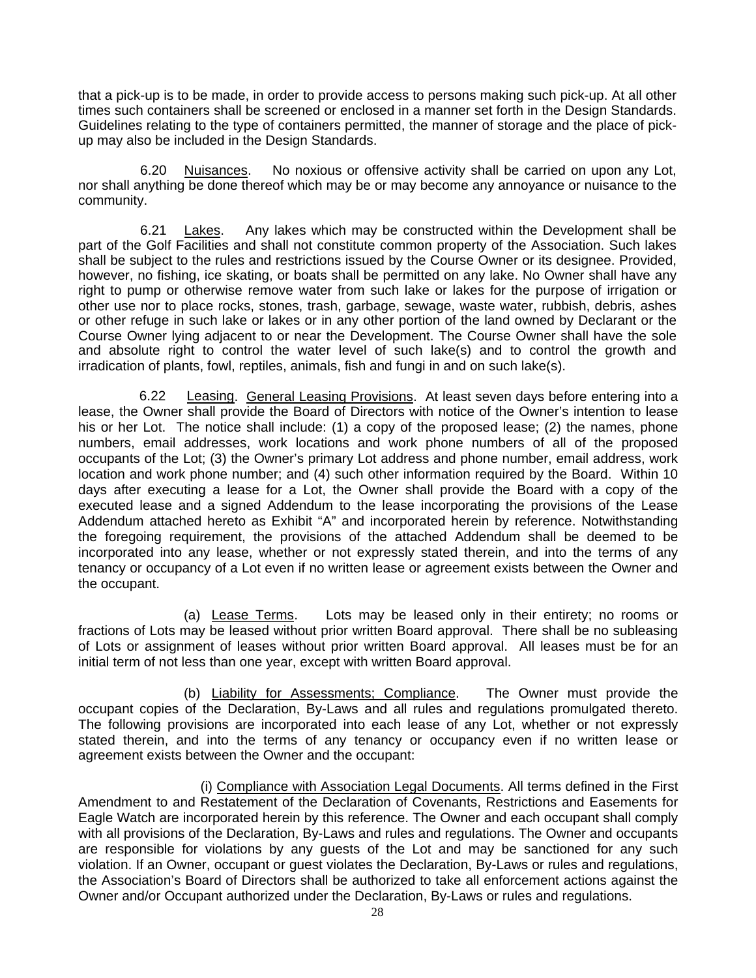that a pick-up is to be made, in order to provide access to persons making such pick-up. At all other times such containers shall be screened or enclosed in a manner set forth in the Design Standards. Guidelines relating to the type of containers permitted, the manner of storage and the place of pickup may also be included in the Design Standards.

6.20 Nuisances. No noxious or offensive activity shall be carried on upon any Lot, nor shall anything be done thereof which may be or may become any annoyance or nuisance to the community.

6.21 Lakes. Any lakes which may be constructed within the Development shall be part of the Golf Facilities and shall not constitute common property of the Association. Such lakes shall be subject to the rules and restrictions issued by the Course Owner or its designee. Provided, however, no fishing, ice skating, or boats shall be permitted on any lake. No Owner shall have any right to pump or otherwise remove water from such lake or lakes for the purpose of irrigation or other use nor to place rocks, stones, trash, garbage, sewage, waste water, rubbish, debris, ashes or other refuge in such lake or lakes or in any other portion of the land owned by Declarant or the Course Owner lying adjacent to or near the Development. The Course Owner shall have the sole and absolute right to control the water level of such lake(s) and to control the growth and irradication of plants, fowl, reptiles, animals, fish and fungi in and on such lake(s).

6.22 Leasing. General Leasing Provisions.At least seven days before entering into a lease, the Owner shall provide the Board of Directors with notice of the Owner's intention to lease his or her Lot. The notice shall include: (1) a copy of the proposed lease; (2) the names, phone numbers, email addresses, work locations and work phone numbers of all of the proposed occupants of the Lot; (3) the Owner's primary Lot address and phone number, email address, work location and work phone number; and (4) such other information required by the Board. Within 10 days after executing a lease for a Lot, the Owner shall provide the Board with a copy of the executed lease and a signed Addendum to the lease incorporating the provisions of the Lease Addendum attached hereto as Exhibit "A" and incorporated herein by reference. Notwithstanding the foregoing requirement, the provisions of the attached Addendum shall be deemed to be incorporated into any lease, whether or not expressly stated therein, and into the terms of any tenancy or occupancy of a Lot even if no written lease or agreement exists between the Owner and the occupant.

(a) Lease Terms.Lots may be leased only in their entirety; no rooms or fractions of Lots may be leased without prior written Board approval. There shall be no subleasing of Lots or assignment of leases without prior written Board approval. All leases must be for an initial term of not less than one year, except with written Board approval.

(b) Liability for Assessments; Compliance. The Owner must provide the occupant copies of the Declaration, By-Laws and all rules and regulations promulgated thereto. The following provisions are incorporated into each lease of any Lot, whether or not expressly stated therein, and into the terms of any tenancy or occupancy even if no written lease or agreement exists between the Owner and the occupant:

(i) Compliance with Association Legal Documents. All terms defined in the First Amendment to and Restatement of the Declaration of Covenants, Restrictions and Easements for Eagle Watch are incorporated herein by this reference. The Owner and each occupant shall comply with all provisions of the Declaration, By-Laws and rules and regulations. The Owner and occupants are responsible for violations by any guests of the Lot and may be sanctioned for any such violation. If an Owner, occupant or guest violates the Declaration, By-Laws or rules and regulations, the Association's Board of Directors shall be authorized to take all enforcement actions against the Owner and/or Occupant authorized under the Declaration, By-Laws or rules and regulations.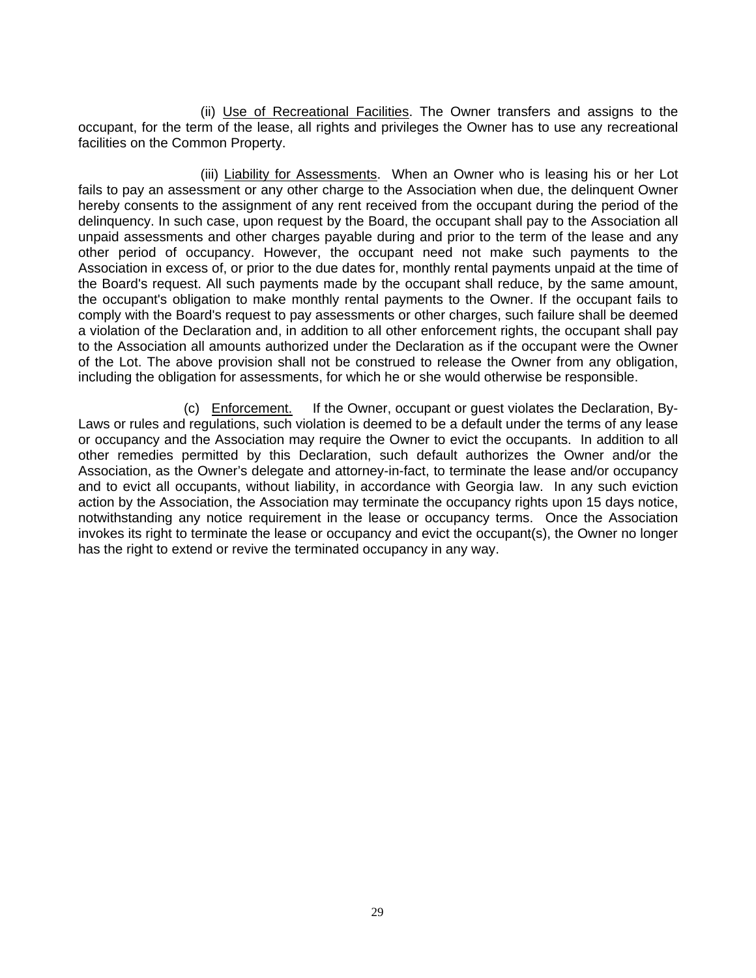(ii) Use of Recreational Facilities. The Owner transfers and assigns to the occupant, for the term of the lease, all rights and privileges the Owner has to use any recreational facilities on the Common Property.

(iii) Liability for Assessments. When an Owner who is leasing his or her Lot fails to pay an assessment or any other charge to the Association when due, the delinquent Owner hereby consents to the assignment of any rent received from the occupant during the period of the delinquency. In such case, upon request by the Board, the occupant shall pay to the Association all unpaid assessments and other charges payable during and prior to the term of the lease and any other period of occupancy. However, the occupant need not make such payments to the Association in excess of, or prior to the due dates for, monthly rental payments unpaid at the time of the Board's request. All such payments made by the occupant shall reduce, by the same amount, the occupant's obligation to make monthly rental payments to the Owner. If the occupant fails to comply with the Board's request to pay assessments or other charges, such failure shall be deemed a violation of the Declaration and, in addition to all other enforcement rights, the occupant shall pay to the Association all amounts authorized under the Declaration as if the occupant were the Owner of the Lot. The above provision shall not be construed to release the Owner from any obligation, including the obligation for assessments, for which he or she would otherwise be responsible.

(c) Enforcement. If the Owner, occupant or guest violates the Declaration, By-Laws or rules and regulations, such violation is deemed to be a default under the terms of any lease or occupancy and the Association may require the Owner to evict the occupants. In addition to all other remedies permitted by this Declaration, such default authorizes the Owner and/or the Association, as the Owner's delegate and attorney-in-fact, to terminate the lease and/or occupancy and to evict all occupants, without liability, in accordance with Georgia law. In any such eviction action by the Association, the Association may terminate the occupancy rights upon 15 days notice, notwithstanding any notice requirement in the lease or occupancy terms. Once the Association invokes its right to terminate the lease or occupancy and evict the occupant(s), the Owner no longer has the right to extend or revive the terminated occupancy in any way.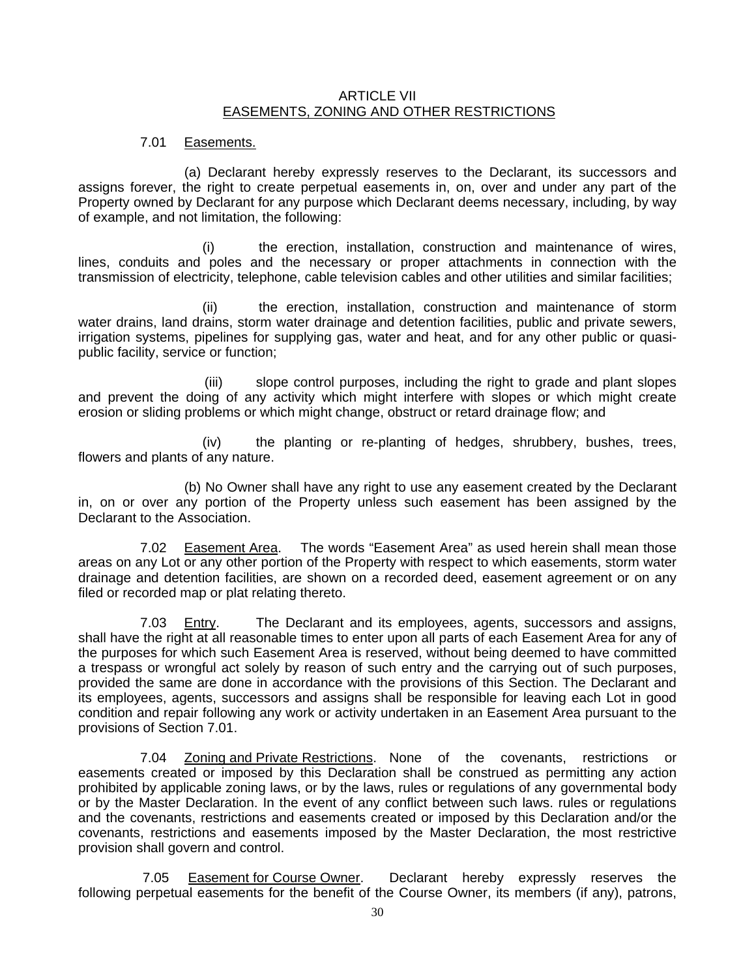#### ARTICLE VII EASEMENTS, ZONING AND OTHER RESTRICTIONS

#### 7.01 Easements.

(a) Declarant hereby expressly reserves to the Declarant, its successors and assigns forever, the right to create perpetual easements in, on, over and under any part of the Property owned by Declarant for any purpose which Declarant deems necessary, including, by way of example, and not limitation, the following:

(i) the erection, installation, construction and maintenance of wires, lines, conduits and poles and the necessary or proper attachments in connection with the transmission of electricity, telephone, cable television cables and other utilities and similar facilities;

(ii) the erection, installation, construction and maintenance of storm water drains, land drains, storm water drainage and detention facilities, public and private sewers, irrigation systems, pipelines for supplying gas, water and heat, and for any other public or quasipublic facility, service or function;

 (iii) slope control purposes, including the right to grade and plant slopes and prevent the doing of any activity which might interfere with slopes or which might create erosion or sliding problems or which might change, obstruct or retard drainage flow; and

(iv) the planting or re-planting of hedges, shrubbery, bushes, trees, flowers and plants of any nature.

(b) No Owner shall have any right to use any easement created by the Declarant in, on or over any portion of the Property unless such easement has been assigned by the Declarant to the Association.

7.02 Easement Area. The words "Easement Area" as used herein shall mean those areas on any Lot or any other portion of the Property with respect to which easements, storm water drainage and detention facilities, are shown on a recorded deed, easement agreement or on any filed or recorded map or plat relating thereto.

7.03 Entry. The Declarant and its employees, agents, successors and assigns, shall have the right at all reasonable times to enter upon all parts of each Easement Area for any of the purposes for which such Easement Area is reserved, without being deemed to have committed a trespass or wrongful act solely by reason of such entry and the carrying out of such purposes, provided the same are done in accordance with the provisions of this Section. The Declarant and its employees, agents, successors and assigns shall be responsible for leaving each Lot in good condition and repair following any work or activity undertaken in an Easement Area pursuant to the provisions of Section 7.01.

7.04 Zoning and Private Restrictions. None of the covenants, restrictions or easements created or imposed by this Declaration shall be construed as permitting any action prohibited by applicable zoning laws, or by the laws, rules or regulations of any governmental body or by the Master Declaration. In the event of any conflict between such laws. rules or regulations and the covenants, restrictions and easements created or imposed by this Declaration and/or the covenants, restrictions and easements imposed by the Master Declaration, the most restrictive provision shall govern and control.

7.05 Easement for Course Owner. Declarant hereby expressly reserves the following perpetual easements for the benefit of the Course Owner, its members (if any), patrons,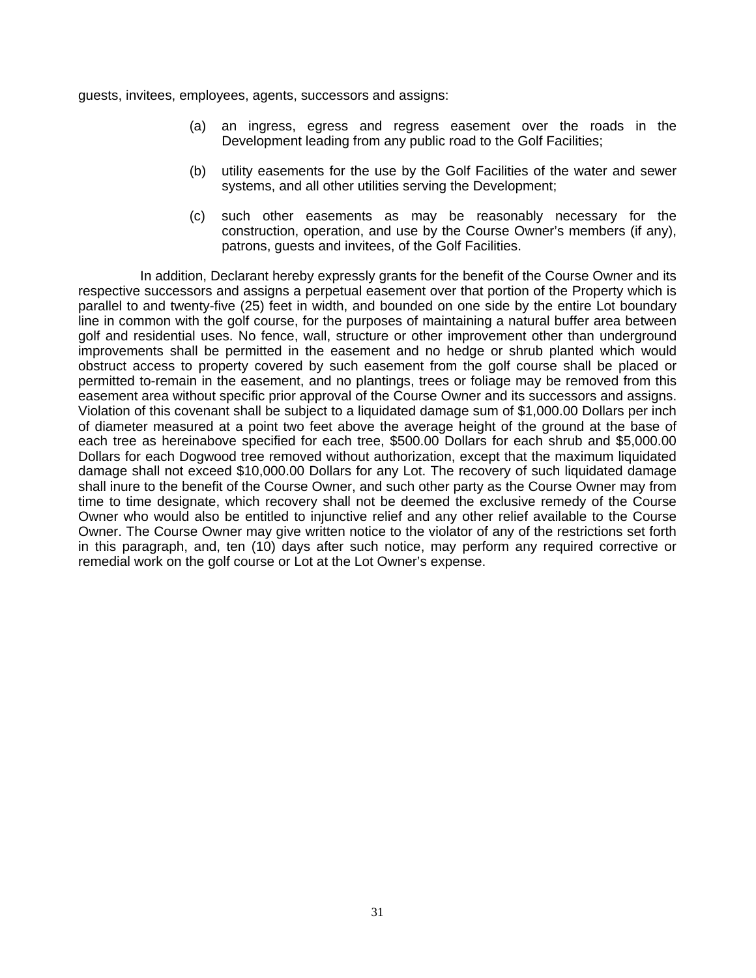guests, invitees, employees, agents, successors and assigns:

- (a) an ingress, egress and regress easement over the roads in the Development leading from any public road to the Golf Facilities;
- (b) utility easements for the use by the Golf Facilities of the water and sewer systems, and all other utilities serving the Development;
- (c) such other easements as may be reasonably necessary for the construction, operation, and use by the Course Owner's members (if any), patrons, guests and invitees, of the Golf Facilities.

In addition, Declarant hereby expressly grants for the benefit of the Course Owner and its respective successors and assigns a perpetual easement over that portion of the Property which is parallel to and twenty-five (25) feet in width, and bounded on one side by the entire Lot boundary line in common with the golf course, for the purposes of maintaining a natural buffer area between golf and residential uses. No fence, wall, structure or other improvement other than underground improvements shall be permitted in the easement and no hedge or shrub planted which would obstruct access to property covered by such easement from the golf course shall be placed or permitted to-remain in the easement, and no plantings, trees or foliage may be removed from this easement area without specific prior approval of the Course Owner and its successors and assigns. Violation of this covenant shall be subject to a liquidated damage sum of \$1,000.00 Dollars per inch of diameter measured at a point two feet above the average height of the ground at the base of each tree as hereinabove specified for each tree, \$500.00 Dollars for each shrub and \$5,000.00 Dollars for each Dogwood tree removed without authorization, except that the maximum liquidated damage shall not exceed \$10,000.00 Dollars for any Lot. The recovery of such liquidated damage shall inure to the benefit of the Course Owner, and such other party as the Course Owner may from time to time designate, which recovery shall not be deemed the exclusive remedy of the Course Owner who would also be entitled to injunctive relief and any other relief available to the Course Owner. The Course Owner may give written notice to the violator of any of the restrictions set forth in this paragraph, and, ten (10) days after such notice, may perform any required corrective or remedial work on the golf course or Lot at the Lot Owner's expense.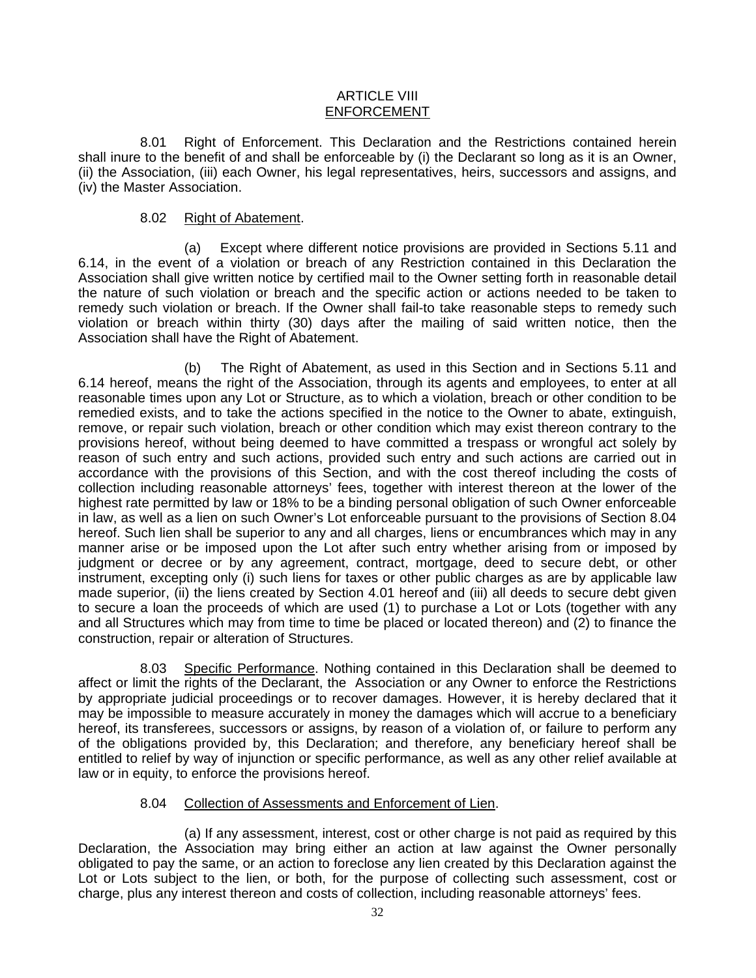#### ARTICLE VIII ENFORCEMENT

8.01 Right of Enforcement. This Declaration and the Restrictions contained herein shall inure to the benefit of and shall be enforceable by (i) the Declarant so long as it is an Owner, (ii) the Association, (iii) each Owner, his legal representatives, heirs, successors and assigns, and (iv) the Master Association.

#### 8.02 Right of Abatement.

(a) Except where different notice provisions are provided in Sections 5.11 and 6.14, in the event of a violation or breach of any Restriction contained in this Declaration the Association shall give written notice by certified mail to the Owner setting forth in reasonable detail the nature of such violation or breach and the specific action or actions needed to be taken to remedy such violation or breach. If the Owner shall fail-to take reasonable steps to remedy such violation or breach within thirty (30) days after the mailing of said written notice, then the Association shall have the Right of Abatement.

(b) The Right of Abatement, as used in this Section and in Sections 5.11 and 6.14 hereof, means the right of the Association, through its agents and employees, to enter at all reasonable times upon any Lot or Structure, as to which a violation, breach or other condition to be remedied exists, and to take the actions specified in the notice to the Owner to abate, extinguish, remove, or repair such violation, breach or other condition which may exist thereon contrary to the provisions hereof, without being deemed to have committed a trespass or wrongful act solely by reason of such entry and such actions, provided such entry and such actions are carried out in accordance with the provisions of this Section, and with the cost thereof including the costs of collection including reasonable attorneys' fees, together with interest thereon at the lower of the highest rate permitted by law or 18% to be a binding personal obligation of such Owner enforceable in law, as well as a lien on such Owner's Lot enforceable pursuant to the provisions of Section 8.04 hereof. Such lien shall be superior to any and all charges, liens or encumbrances which may in any manner arise or be imposed upon the Lot after such entry whether arising from or imposed by judgment or decree or by any agreement, contract, mortgage, deed to secure debt, or other instrument, excepting only (i) such liens for taxes or other public charges as are by applicable law made superior, (ii) the liens created by Section 4.01 hereof and (iii) all deeds to secure debt given to secure a loan the proceeds of which are used (1) to purchase a Lot or Lots (together with any and all Structures which may from time to time be placed or located thereon) and (2) to finance the construction, repair or alteration of Structures.

8.03 Specific Performance. Nothing contained in this Declaration shall be deemed to affect or limit the rights of the Declarant, the Association or any Owner to enforce the Restrictions by appropriate judicial proceedings or to recover damages. However, it is hereby declared that it may be impossible to measure accurately in money the damages which will accrue to a beneficiary hereof, its transferees, successors or assigns, by reason of a violation of, or failure to perform any of the obligations provided by, this Declaration; and therefore, any beneficiary hereof shall be entitled to relief by way of injunction or specific performance, as well as any other relief available at law or in equity, to enforce the provisions hereof.

#### 8.04 Collection of Assessments and Enforcement of Lien.

(a) If any assessment, interest, cost or other charge is not paid as required by this Declaration, the Association may bring either an action at law against the Owner personally obligated to pay the same, or an action to foreclose any lien created by this Declaration against the Lot or Lots subject to the lien, or both, for the purpose of collecting such assessment, cost or charge, plus any interest thereon and costs of collection, including reasonable attorneys' fees.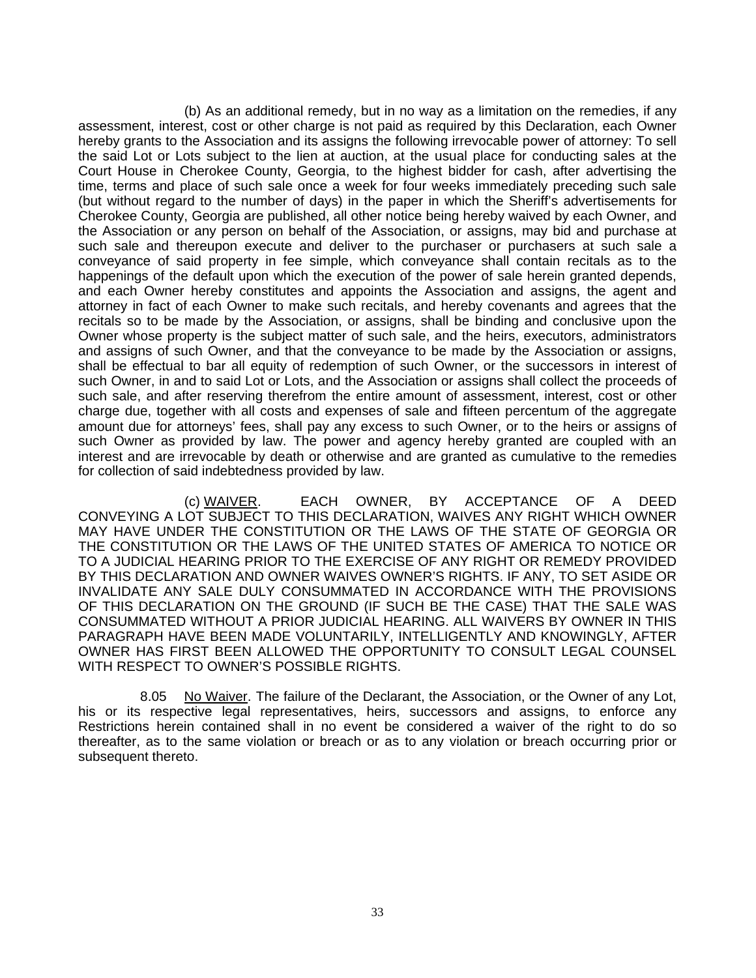(b) As an additional remedy, but in no way as a limitation on the remedies, if any assessment, interest, cost or other charge is not paid as required by this Declaration, each Owner hereby grants to the Association and its assigns the following irrevocable power of attorney: To sell the said Lot or Lots subject to the lien at auction, at the usual place for conducting sales at the Court House in Cherokee County, Georgia, to the highest bidder for cash, after advertising the time, terms and place of such sale once a week for four weeks immediately preceding such sale (but without regard to the number of days) in the paper in which the Sheriff's advertisements for Cherokee County, Georgia are published, all other notice being hereby waived by each Owner, and the Association or any person on behalf of the Association, or assigns, may bid and purchase at such sale and thereupon execute and deliver to the purchaser or purchasers at such sale a conveyance of said property in fee simple, which conveyance shall contain recitals as to the happenings of the default upon which the execution of the power of sale herein granted depends, and each Owner hereby constitutes and appoints the Association and assigns, the agent and attorney in fact of each Owner to make such recitals, and hereby covenants and agrees that the recitals so to be made by the Association, or assigns, shall be binding and conclusive upon the Owner whose property is the subject matter of such sale, and the heirs, executors, administrators and assigns of such Owner, and that the conveyance to be made by the Association or assigns, shall be effectual to bar all equity of redemption of such Owner, or the successors in interest of such Owner, in and to said Lot or Lots, and the Association or assigns shall collect the proceeds of such sale, and after reserving therefrom the entire amount of assessment, interest, cost or other charge due, together with all costs and expenses of sale and fifteen percentum of the aggregate amount due for attorneys' fees, shall pay any excess to such Owner, or to the heirs or assigns of such Owner as provided by law. The power and agency hereby granted are coupled with an interest and are irrevocable by death or otherwise and are granted as cumulative to the remedies for collection of said indebtedness provided by law.

(c) WAIVER. EACH OWNER, BY ACCEPTANCE OF A DEED CONVEYING A LOT SUBJECT TO THIS DECLARATION, WAIVES ANY RIGHT WHICH OWNER MAY HAVE UNDER THE CONSTITUTION OR THE LAWS OF THE STATE OF GEORGIA OR THE CONSTITUTION OR THE LAWS OF THE UNITED STATES OF AMERICA TO NOTICE OR TO A JUDICIAL HEARING PRIOR TO THE EXERCISE OF ANY RIGHT OR REMEDY PROVIDED BY THIS DECLARATION AND OWNER WAIVES OWNER'S RIGHTS. IF ANY, TO SET ASIDE OR INVALIDATE ANY SALE DULY CONSUMMATED IN ACCORDANCE WITH THE PROVISIONS OF THIS DECLARATION ON THE GROUND (IF SUCH BE THE CASE) THAT THE SALE WAS CONSUMMATED WITHOUT A PRIOR JUDICIAL HEARING. ALL WAIVERS BY OWNER IN THIS PARAGRAPH HAVE BEEN MADE VOLUNTARILY, INTELLIGENTLY AND KNOWINGLY, AFTER OWNER HAS FIRST BEEN ALLOWED THE OPPORTUNITY TO CONSULT LEGAL COUNSEL WITH RESPECT TO OWNER'S POSSIBLE RIGHTS.

8.05 No Waiver. The failure of the Declarant, the Association, or the Owner of any Lot, his or its respective legal representatives, heirs, successors and assigns, to enforce any Restrictions herein contained shall in no event be considered a waiver of the right to do so thereafter, as to the same violation or breach or as to any violation or breach occurring prior or subsequent thereto.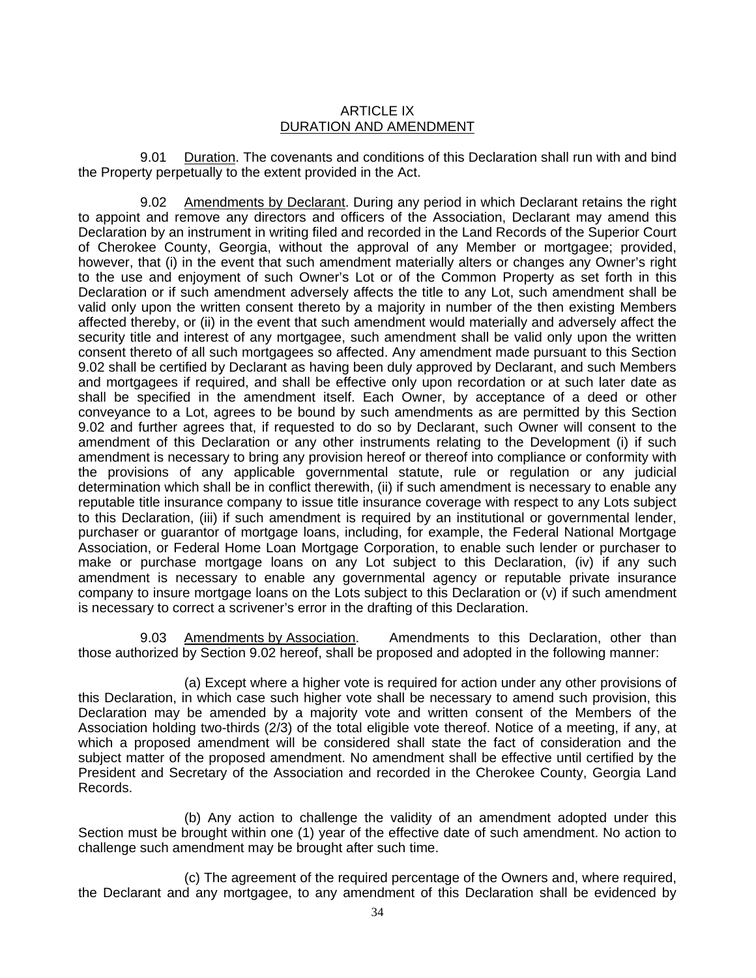## ARTICLE IX DURATION AND AMENDMENT

9.01 Duration. The covenants and conditions of this Declaration shall run with and bind the Property perpetually to the extent provided in the Act.

9.02 Amendments by Declarant. During any period in which Declarant retains the right to appoint and remove any directors and officers of the Association, Declarant may amend this Declaration by an instrument in writing filed and recorded in the Land Records of the Superior Court of Cherokee County, Georgia, without the approval of any Member or mortgagee; provided, however, that (i) in the event that such amendment materially alters or changes any Owner's right to the use and enjoyment of such Owner's Lot or of the Common Property as set forth in this Declaration or if such amendment adversely affects the title to any Lot, such amendment shall be valid only upon the written consent thereto by a majority in number of the then existing Members affected thereby, or (ii) in the event that such amendment would materially and adversely affect the security title and interest of any mortgagee, such amendment shall be valid only upon the written consent thereto of all such mortgagees so affected. Any amendment made pursuant to this Section 9.02 shall be certified by Declarant as having been duly approved by Declarant, and such Members and mortgagees if required, and shall be effective only upon recordation or at such later date as shall be specified in the amendment itself. Each Owner, by acceptance of a deed or other conveyance to a Lot, agrees to be bound by such amendments as are permitted by this Section 9.02 and further agrees that, if requested to do so by Declarant, such Owner will consent to the amendment of this Declaration or any other instruments relating to the Development (i) if such amendment is necessary to bring any provision hereof or thereof into compliance or conformity with the provisions of any applicable governmental statute, rule or regulation or any judicial determination which shall be in conflict therewith, (ii) if such amendment is necessary to enable any reputable title insurance company to issue title insurance coverage with respect to any Lots subject to this Declaration, (iii) if such amendment is required by an institutional or governmental lender, purchaser or guarantor of mortgage loans, including, for example, the Federal National Mortgage Association, or Federal Home Loan Mortgage Corporation, to enable such lender or purchaser to make or purchase mortgage loans on any Lot subject to this Declaration, (iv) if any such amendment is necessary to enable any governmental agency or reputable private insurance company to insure mortgage loans on the Lots subject to this Declaration or (v) if such amendment is necessary to correct a scrivener's error in the drafting of this Declaration.

9.03 Amendments by Association. Amendments to this Declaration, other than those authorized by Section 9.02 hereof, shall be proposed and adopted in the following manner:

(a) Except where a higher vote is required for action under any other provisions of this Declaration, in which case such higher vote shall be necessary to amend such provision, this Declaration may be amended by a majority vote and written consent of the Members of the Association holding two-thirds (2/3) of the total eligible vote thereof. Notice of a meeting, if any, at which a proposed amendment will be considered shall state the fact of consideration and the subject matter of the proposed amendment. No amendment shall be effective until certified by the President and Secretary of the Association and recorded in the Cherokee County, Georgia Land Records.

(b) Any action to challenge the validity of an amendment adopted under this Section must be brought within one (1) year of the effective date of such amendment. No action to challenge such amendment may be brought after such time.

(c) The agreement of the required percentage of the Owners and, where required, the Declarant and any mortgagee, to any amendment of this Declaration shall be evidenced by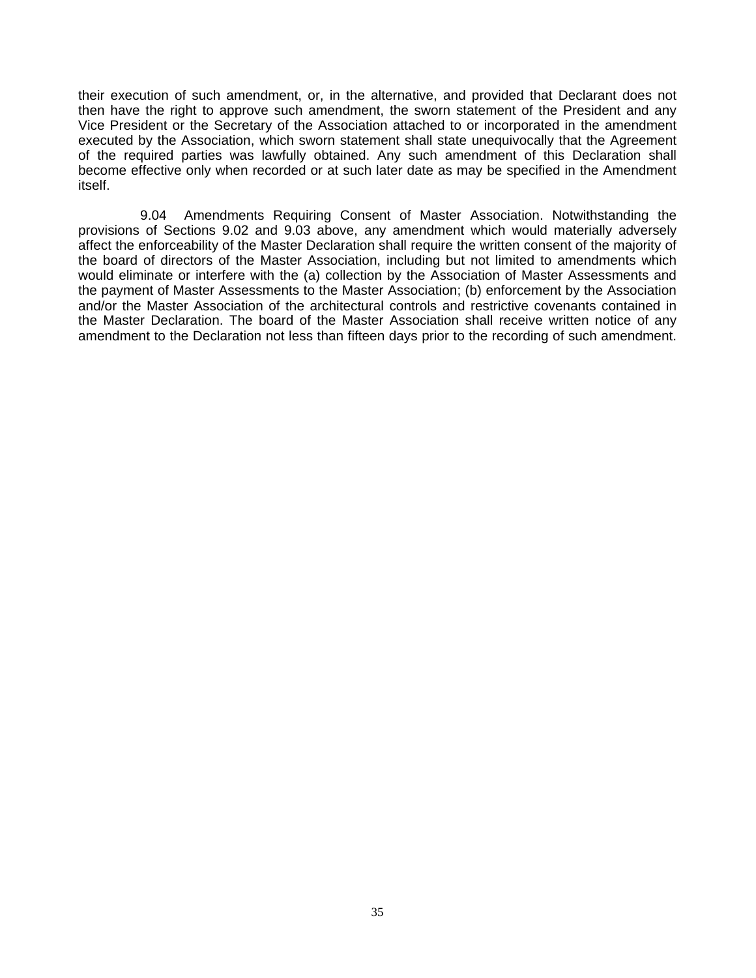their execution of such amendment, or, in the alternative, and provided that Declarant does not then have the right to approve such amendment, the sworn statement of the President and any Vice President or the Secretary of the Association attached to or incorporated in the amendment executed by the Association, which sworn statement shall state unequivocally that the Agreement of the required parties was lawfully obtained. Any such amendment of this Declaration shall become effective only when recorded or at such later date as may be specified in the Amendment itself.

9.04 Amendments Requiring Consent of Master Association. Notwithstanding the provisions of Sections 9.02 and 9.03 above, any amendment which would materially adversely affect the enforceability of the Master Declaration shall require the written consent of the majority of the board of directors of the Master Association, including but not limited to amendments which would eliminate or interfere with the (a) collection by the Association of Master Assessments and the payment of Master Assessments to the Master Association; (b) enforcement by the Association and/or the Master Association of the architectural controls and restrictive covenants contained in the Master Declaration. The board of the Master Association shall receive written notice of any amendment to the Declaration not less than fifteen days prior to the recording of such amendment.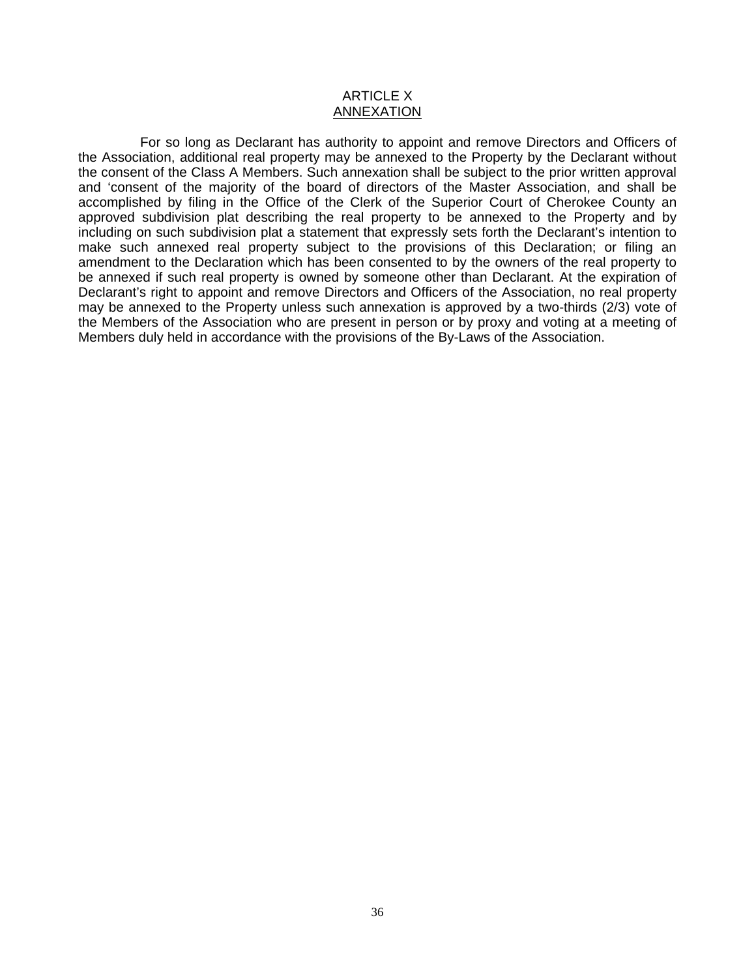#### ARTICLE X ANNEXATION

For so long as Declarant has authority to appoint and remove Directors and Officers of the Association, additional real property may be annexed to the Property by the Declarant without the consent of the Class A Members. Such annexation shall be subject to the prior written approval and 'consent of the majority of the board of directors of the Master Association, and shall be accomplished by filing in the Office of the Clerk of the Superior Court of Cherokee County an approved subdivision plat describing the real property to be annexed to the Property and by including on such subdivision plat a statement that expressly sets forth the Declarant's intention to make such annexed real property subject to the provisions of this Declaration; or filing an amendment to the Declaration which has been consented to by the owners of the real property to be annexed if such real property is owned by someone other than Declarant. At the expiration of Declarant's right to appoint and remove Directors and Officers of the Association, no real property may be annexed to the Property unless such annexation is approved by a two-thirds (2/3) vote of the Members of the Association who are present in person or by proxy and voting at a meeting of Members duly held in accordance with the provisions of the By-Laws of the Association.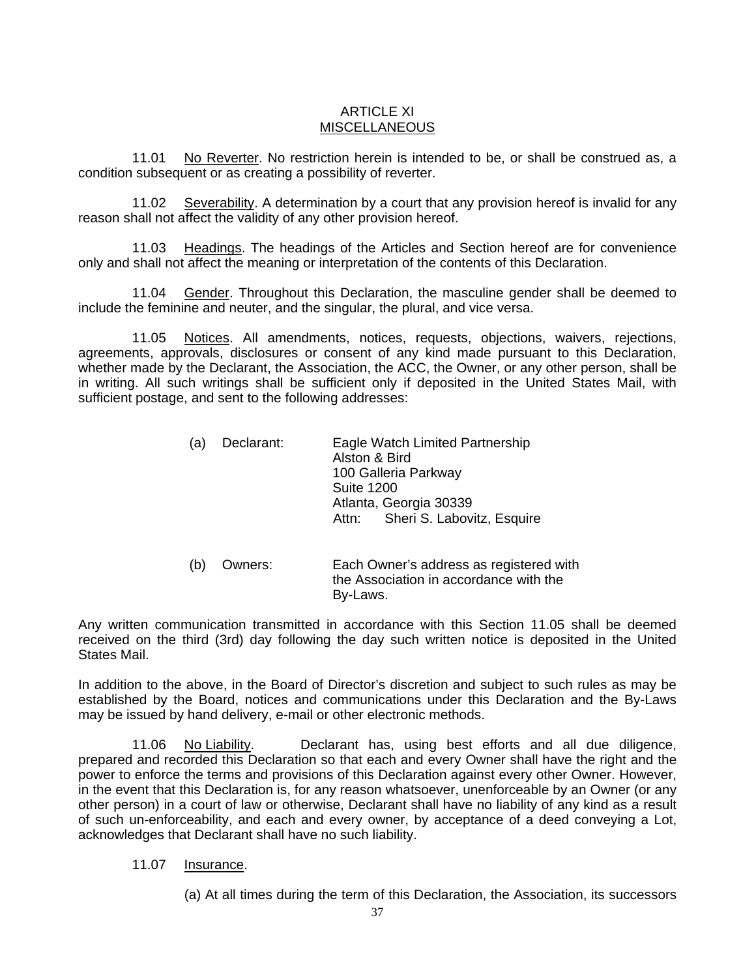## ARTICLE XI MISCELLANEOUS

11.01 No Reverter. No restriction herein is intended to be, or shall be construed as, a condition subsequent or as creating a possibility of reverter.

11.02 Severability. A determination by a court that any provision hereof is invalid for any reason shall not affect the validity of any other provision hereof.

11.03 Headings. The headings of the Articles and Section hereof are for convenience only and shall not affect the meaning or interpretation of the contents of this Declaration.

11.04 Gender. Throughout this Declaration, the masculine gender shall be deemed to include the feminine and neuter, and the singular, the plural, and vice versa.

11.05 Notices. All amendments, notices, requests, objections, waivers, rejections, agreements, approvals, disclosures or consent of any kind made pursuant to this Declaration, whether made by the Declarant, the Association, the ACC, the Owner, or any other person, shall be in writing. All such writings shall be sufficient only if deposited in the United States Mail, with sufficient postage, and sent to the following addresses:

| (a) | Declarant: | Eagle Watch Limited Partnership  |  |
|-----|------------|----------------------------------|--|
|     |            | Alston & Bird                    |  |
|     |            | 100 Galleria Parkway             |  |
|     |            | <b>Suite 1200</b>                |  |
|     |            | Atlanta, Georgia 30339           |  |
|     |            | Attn: Sheri S. Labovitz, Esquire |  |

 (b) Owners: Each Owner's address as registered with the Association in accordance with the By-Laws.

Any written communication transmitted in accordance with this Section 11.05 shall be deemed received on the third (3rd) day following the day such written notice is deposited in the United States Mail.

In addition to the above, in the Board of Director's discretion and subject to such rules as may be established by the Board, notices and communications under this Declaration and the By-Laws may be issued by hand delivery, e-mail or other electronic methods.

11.06 No Liability. Declarant has, using best efforts and all due diligence, prepared and recorded this Declaration so that each and every Owner shall have the right and the power to enforce the terms and provisions of this Declaration against every other Owner. However, in the event that this Declaration is, for any reason whatsoever, unenforceable by an Owner (or any other person) in a court of law or otherwise, Declarant shall have no liability of any kind as a result of such un-enforceability, and each and every owner, by acceptance of a deed conveying a Lot, acknowledges that Declarant shall have no such liability.

11.07 Insurance.

(a) At all times during the term of this Declaration, the Association, its successors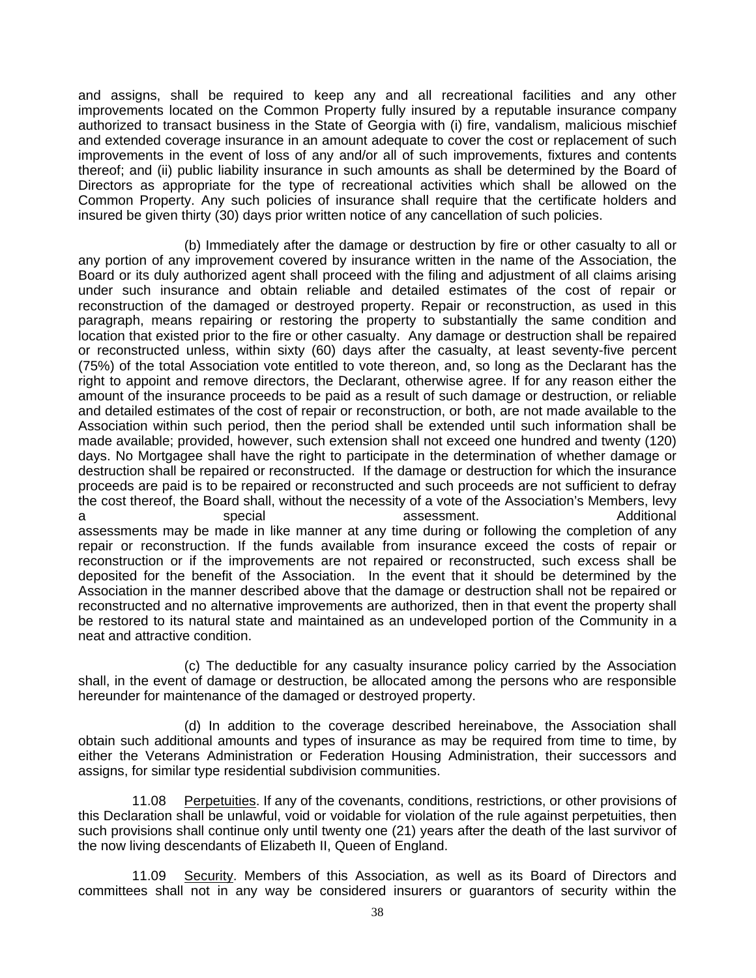and assigns, shall be required to keep any and all recreational facilities and any other improvements located on the Common Property fully insured by a reputable insurance company authorized to transact business in the State of Georgia with (i) fire, vandalism, malicious mischief and extended coverage insurance in an amount adequate to cover the cost or replacement of such improvements in the event of loss of any and/or all of such improvements, fixtures and contents thereof; and (ii) public liability insurance in such amounts as shall be determined by the Board of Directors as appropriate for the type of recreational activities which shall be allowed on the Common Property. Any such policies of insurance shall require that the certificate holders and insured be given thirty (30) days prior written notice of any cancellation of such policies.

(b) Immediately after the damage or destruction by fire or other casualty to all or any portion of any improvement covered by insurance written in the name of the Association, the Board or its duly authorized agent shall proceed with the filing and adjustment of all claims arising under such insurance and obtain reliable and detailed estimates of the cost of repair or reconstruction of the damaged or destroyed property. Repair or reconstruction, as used in this paragraph, means repairing or restoring the property to substantially the same condition and location that existed prior to the fire or other casualty. Any damage or destruction shall be repaired or reconstructed unless, within sixty (60) days after the casualty, at least seventy-five percent (75%) of the total Association vote entitled to vote thereon, and, so long as the Declarant has the right to appoint and remove directors, the Declarant, otherwise agree. If for any reason either the amount of the insurance proceeds to be paid as a result of such damage or destruction, or reliable and detailed estimates of the cost of repair or reconstruction, or both, are not made available to the Association within such period, then the period shall be extended until such information shall be made available; provided, however, such extension shall not exceed one hundred and twenty (120) days. No Mortgagee shall have the right to participate in the determination of whether damage or destruction shall be repaired or reconstructed. If the damage or destruction for which the insurance proceeds are paid is to be repaired or reconstructed and such proceeds are not sufficient to defray the cost thereof, the Board shall, without the necessity of a vote of the Association's Members, levy a special assessment. Additional assessment assessment assessment and a assessments may be made in like manner at any time during or following the completion of any repair or reconstruction. If the funds available from insurance exceed the costs of repair or reconstruction or if the improvements are not repaired or reconstructed, such excess shall be deposited for the benefit of the Association. In the event that it should be determined by the Association in the manner described above that the damage or destruction shall not be repaired or reconstructed and no alternative improvements are authorized, then in that event the property shall be restored to its natural state and maintained as an undeveloped portion of the Community in a neat and attractive condition.

(c) The deductible for any casualty insurance policy carried by the Association shall, in the event of damage or destruction, be allocated among the persons who are responsible hereunder for maintenance of the damaged or destroyed property.

(d) In addition to the coverage described hereinabove, the Association shall obtain such additional amounts and types of insurance as may be required from time to time, by either the Veterans Administration or Federation Housing Administration, their successors and assigns, for similar type residential subdivision communities.

11.08 Perpetuities. If any of the covenants, conditions, restrictions, or other provisions of this Declaration shall be unlawful, void or voidable for violation of the rule against perpetuities, then such provisions shall continue only until twenty one (21) years after the death of the last survivor of the now living descendants of Elizabeth II, Queen of England.

11.09 Security. Members of this Association, as well as its Board of Directors and committees shall not in any way be considered insurers or guarantors of security within the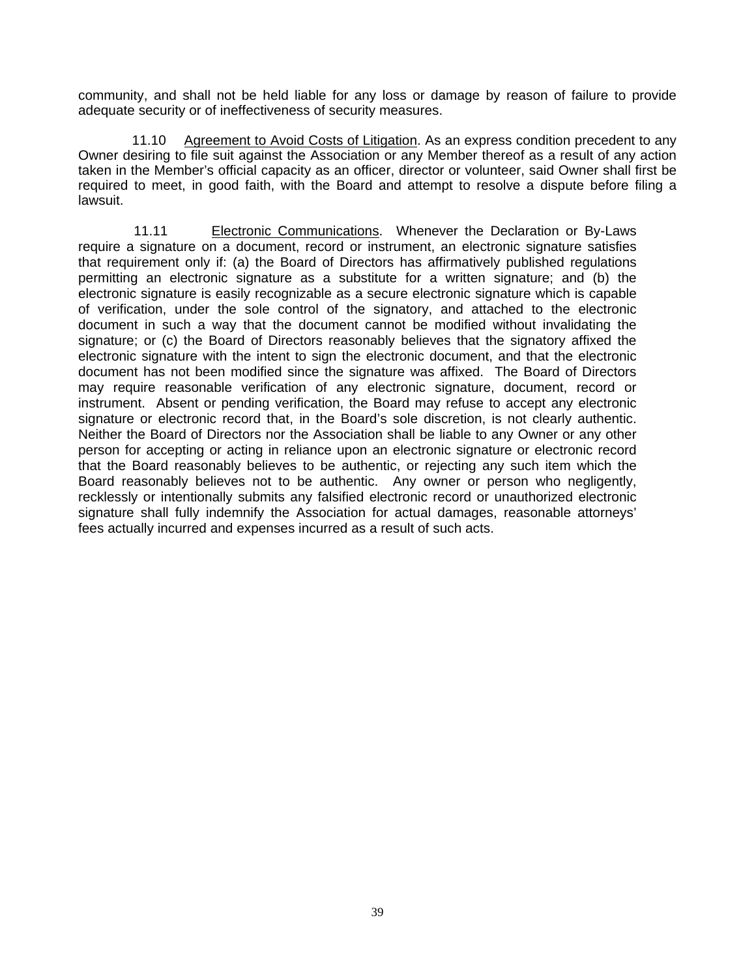community, and shall not be held liable for any loss or damage by reason of failure to provide adequate security or of ineffectiveness of security measures.

11.10 Agreement to Avoid Costs of Litigation. As an express condition precedent to any Owner desiring to file suit against the Association or any Member thereof as a result of any action taken in the Member's official capacity as an officer, director or volunteer, said Owner shall first be required to meet, in good faith, with the Board and attempt to resolve a dispute before filing a lawsuit.

11.11 Electronic Communications. Whenever the Declaration or By-Laws require a signature on a document, record or instrument, an electronic signature satisfies that requirement only if: (a) the Board of Directors has affirmatively published regulations permitting an electronic signature as a substitute for a written signature; and (b) the electronic signature is easily recognizable as a secure electronic signature which is capable of verification, under the sole control of the signatory, and attached to the electronic document in such a way that the document cannot be modified without invalidating the signature; or (c) the Board of Directors reasonably believes that the signatory affixed the electronic signature with the intent to sign the electronic document, and that the electronic document has not been modified since the signature was affixed. The Board of Directors may require reasonable verification of any electronic signature, document, record or instrument. Absent or pending verification, the Board may refuse to accept any electronic signature or electronic record that, in the Board's sole discretion, is not clearly authentic. Neither the Board of Directors nor the Association shall be liable to any Owner or any other person for accepting or acting in reliance upon an electronic signature or electronic record that the Board reasonably believes to be authentic, or rejecting any such item which the Board reasonably believes not to be authentic. Any owner or person who negligently, recklessly or intentionally submits any falsified electronic record or unauthorized electronic signature shall fully indemnify the Association for actual damages, reasonable attorneys' fees actually incurred and expenses incurred as a result of such acts.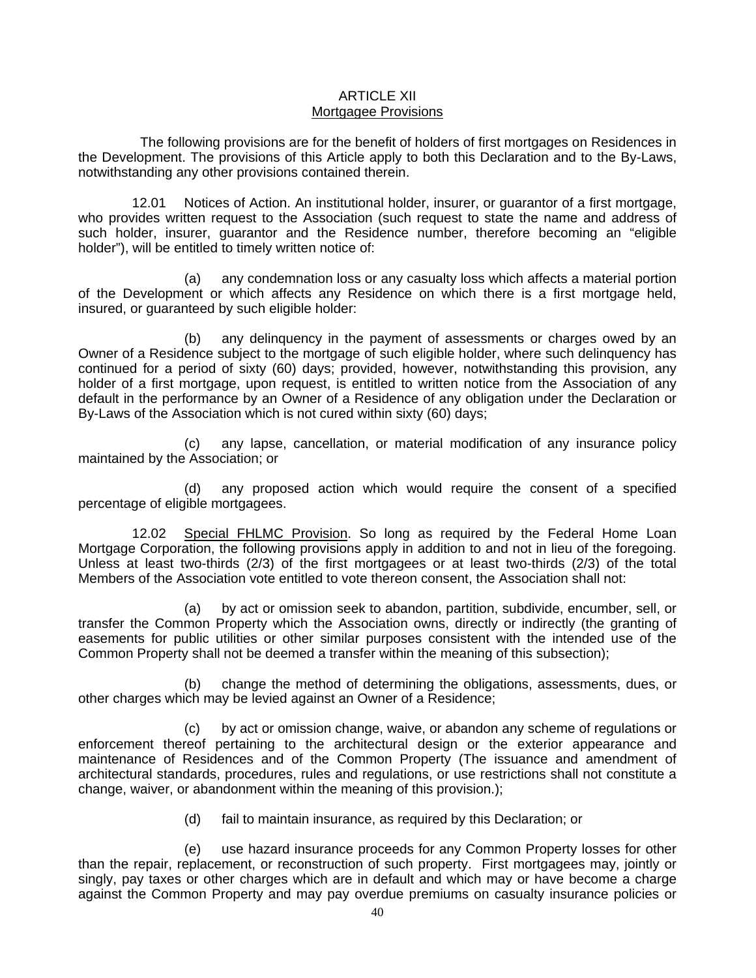#### ARTICLE XII Mortgagee Provisions

The following provisions are for the benefit of holders of first mortgages on Residences in the Development. The provisions of this Article apply to both this Declaration and to the By-Laws, notwithstanding any other provisions contained therein.

12.01 Notices of Action. An institutional holder, insurer, or guarantor of a first mortgage, who provides written request to the Association (such request to state the name and address of such holder, insurer, guarantor and the Residence number, therefore becoming an "eligible holder"), will be entitled to timely written notice of:

(a) any condemnation loss or any casualty loss which affects a material portion of the Development or which affects any Residence on which there is a first mortgage held, insured, or guaranteed by such eligible holder:

(b) any delinquency in the payment of assessments or charges owed by an Owner of a Residence subject to the mortgage of such eligible holder, where such delinquency has continued for a period of sixty (60) days; provided, however, notwithstanding this provision, any holder of a first mortgage, upon request, is entitled to written notice from the Association of any default in the performance by an Owner of a Residence of any obligation under the Declaration or By-Laws of the Association which is not cured within sixty (60) days;

(c) any lapse, cancellation, or material modification of any insurance policy maintained by the Association; or

(d) any proposed action which would require the consent of a specified percentage of eligible mortgagees.

12.02 Special FHLMC Provision. So long as required by the Federal Home Loan Mortgage Corporation, the following provisions apply in addition to and not in lieu of the foregoing. Unless at least two-thirds (2/3) of the first mortgagees or at least two-thirds (2/3) of the total Members of the Association vote entitled to vote thereon consent, the Association shall not:

(a) by act or omission seek to abandon, partition, subdivide, encumber, sell, or transfer the Common Property which the Association owns, directly or indirectly (the granting of easements for public utilities or other similar purposes consistent with the intended use of the Common Property shall not be deemed a transfer within the meaning of this subsection);

(b) change the method of determining the obligations, assessments, dues, or other charges which may be levied against an Owner of a Residence;

(c) by act or omission change, waive, or abandon any scheme of regulations or enforcement thereof pertaining to the architectural design or the exterior appearance and maintenance of Residences and of the Common Property (The issuance and amendment of architectural standards, procedures, rules and regulations, or use restrictions shall not constitute a change, waiver, or abandonment within the meaning of this provision.);

(d) fail to maintain insurance, as required by this Declaration; or

(e) use hazard insurance proceeds for any Common Property losses for other than the repair, replacement, or reconstruction of such property. First mortgagees may, jointly or singly, pay taxes or other charges which are in default and which may or have become a charge against the Common Property and may pay overdue premiums on casualty insurance policies or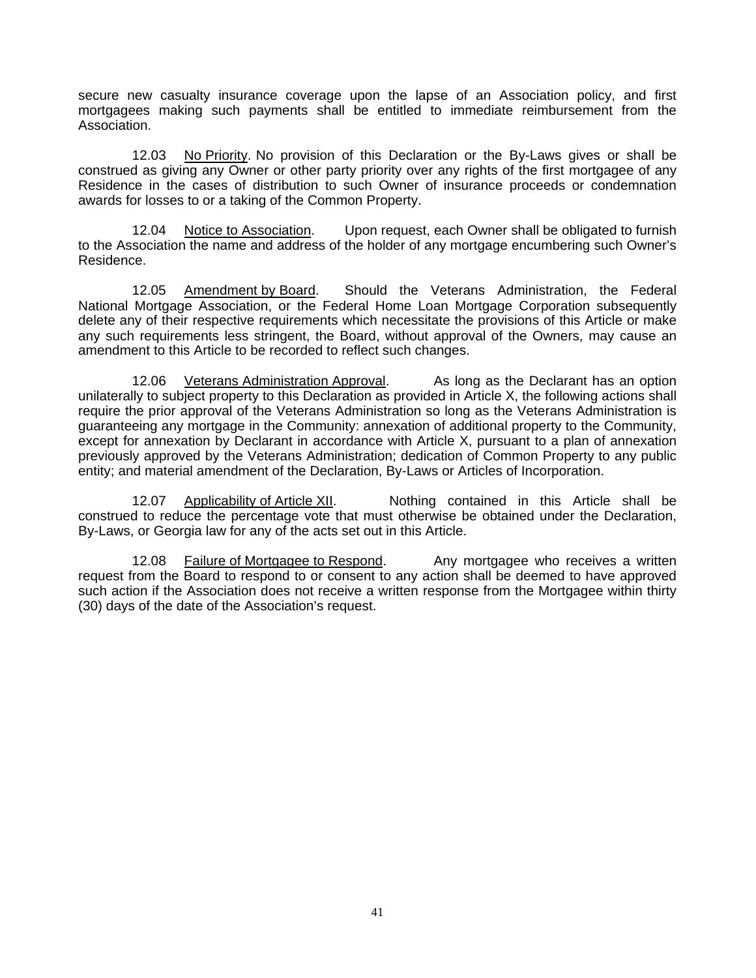secure new casualty insurance coverage upon the lapse of an Association policy, and first mortgagees making such payments shall be entitled to immediate reimbursement from the Association.

12.03 No Priority. No provision of this Declaration or the By-Laws gives or shall be construed as giving any Owner or other party priority over any rights of the first mortgagee of any Residence in the cases of distribution to such Owner of insurance proceeds or condemnation awards for losses to or a taking of the Common Property.

12.04 Notice to Association. Upon request, each Owner shall be obligated to furnish to the Association the name and address of the holder of any mortgage encumbering such Owner's Residence.

12.05 Amendment by Board. Should the Veterans Administration, the Federal National Mortgage Association, or the Federal Home Loan Mortgage Corporation subsequently delete any of their respective requirements which necessitate the provisions of this Article or make any such requirements less stringent, the Board, without approval of the Owners, may cause an amendment to this Article to be recorded to reflect such changes.

12.06 Veterans Administration Approval. As long as the Declarant has an option unilaterally to subject property to this Declaration as provided in Article X, the following actions shall require the prior approval of the Veterans Administration so long as the Veterans Administration is guaranteeing any mortgage in the Community: annexation of additional property to the Community, except for annexation by Declarant in accordance with Article X, pursuant to a plan of annexation previously approved by the Veterans Administration; dedication of Common Property to any public entity; and material amendment of the Declaration, By-Laws or Articles of Incorporation.

12.07 Applicability of Article XII. Nothing contained in this Article shall be construed to reduce the percentage vote that must otherwise be obtained under the Declaration, By-Laws, or Georgia law for any of the acts set out in this Article.

12.08 Failure of Mortgagee to Respond. Any mortgagee who receives a written request from the Board to respond to or consent to any action shall be deemed to have approved such action if the Association does not receive a written response from the Mortgagee within thirty (30) days of the date of the Association's request.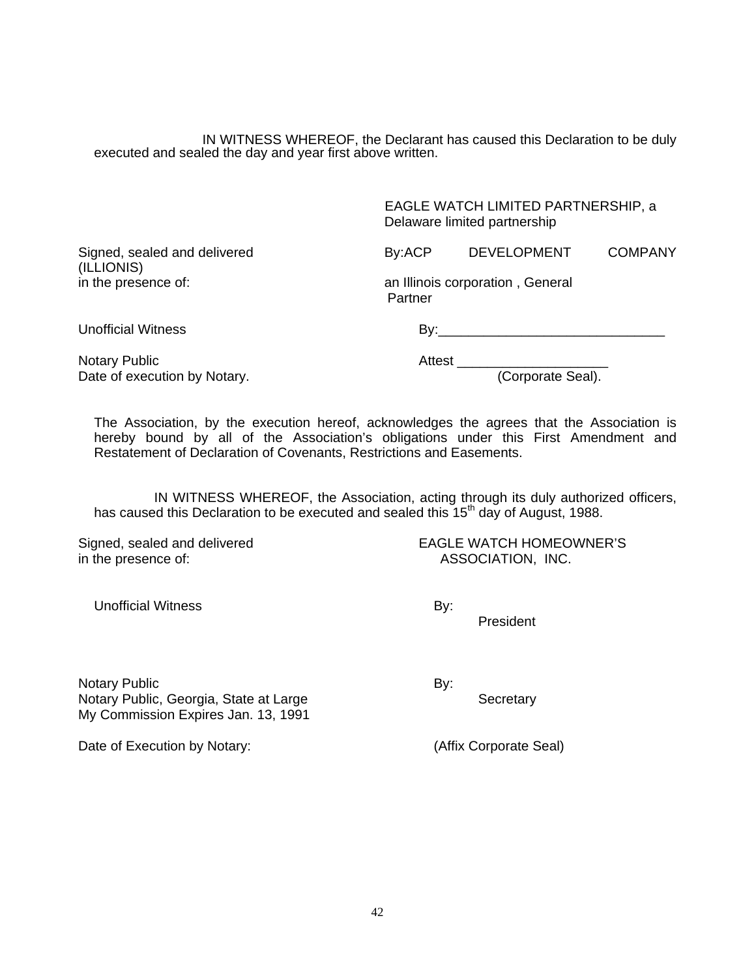IN WITNESS WHEREOF, the Declarant has caused this Declaration to be duly executed and sealed the day and year first above written.

|                                            | Delaware limited partnership                |                    |                |
|--------------------------------------------|---------------------------------------------|--------------------|----------------|
| Signed, sealed and delivered<br>(ILLIONIS) | By:ACP                                      | <b>DEVELOPMENT</b> | <b>COMPANY</b> |
| in the presence of:                        | an Illinois corporation, General<br>Partner |                    |                |
| <b>Unofficial Witness</b>                  |                                             | $\mathsf{By:}$     |                |
| Notary Public                              | Attast                                      |                    |                |

Notary Public Attest \_\_\_\_\_\_\_\_\_\_\_\_\_\_\_\_\_\_\_\_ Date of execution by Notary. The same of the sealing of the sealing of the sealing of the sealing of the sealing of the sealing of the sealing of the sealing of the sealing of the sealing of the sealing of the sealing of t

EAGLE WATCH LIMITED PARTNERSHIP, a

 The Association, by the execution hereof, acknowledges the agrees that the Association is hereby bound by all of the Association's obligations under this First Amendment and Restatement of Declaration of Covenants, Restrictions and Easements.

IN WITNESS WHEREOF, the Association, acting through its duly authorized officers, has caused this Declaration to be executed and sealed this 15<sup>th</sup> day of August, 1988.

in the presence of: ASSOCIATION, INC.

Signed, sealed and delivered EAGLE WATCH HOMEOWNER'S

Unofficial Witness By:

Notary Public **By:** By: Notary Public, Georgia, State at Large Secretary Secretary My Commission Expires Jan. 13, 1991

President

Date of Execution by Notary: (Affix Corporate Seal)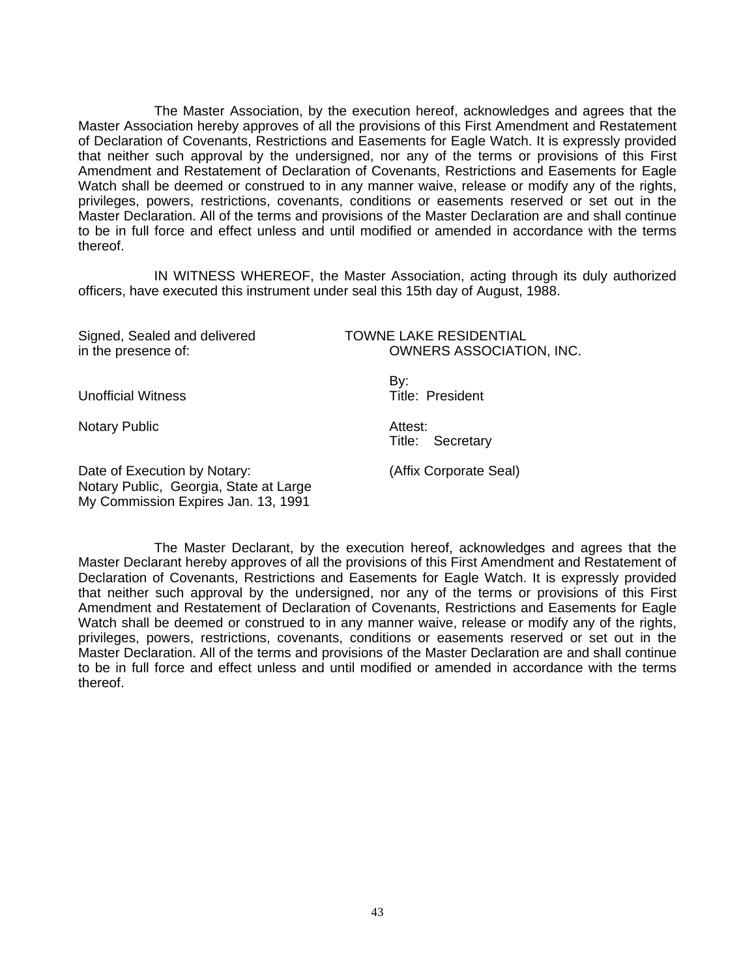The Master Association, by the execution hereof, acknowledges and agrees that the Master Association hereby approves of all the provisions of this First Amendment and Restatement of Declaration of Covenants, Restrictions and Easements for Eagle Watch. It is expressly provided that neither such approval by the undersigned, nor any of the terms or provisions of this First Amendment and Restatement of Declaration of Covenants, Restrictions and Easements for Eagle Watch shall be deemed or construed to in any manner waive, release or modify any of the rights, privileges, powers, restrictions, covenants, conditions or easements reserved or set out in the Master Declaration. All of the terms and provisions of the Master Declaration are and shall continue to be in full force and effect unless and until modified or amended in accordance with the terms thereof.

IN WITNESS WHEREOF, the Master Association, acting through its duly authorized officers, have executed this instrument under seal this 15th day of August, 1988.

Signed, Sealed and delivered TOWNE LAKE RESIDENTIAL

in the presence of: OWNERS ASSOCIATION, INC.

 By: Unofficial Witness **Title:** President

Notary Public **Attest:** 

Title: Secretary

Date of Execution by Notary: (Affix Corporate Seal) Notary Public, Georgia, State at Large My Commission Expires Jan. 13, 1991

 The Master Declarant, by the execution hereof, acknowledges and agrees that the Master Declarant hereby approves of all the provisions of this First Amendment and Restatement of Declaration of Covenants, Restrictions and Easements for Eagle Watch. It is expressly provided that neither such approval by the undersigned, nor any of the terms or provisions of this First Amendment and Restatement of Declaration of Covenants, Restrictions and Easements for Eagle Watch shall be deemed or construed to in any manner waive, release or modify any of the rights, privileges, powers, restrictions, covenants, conditions or easements reserved or set out in the Master Declaration. All of the terms and provisions of the Master Declaration are and shall continue to be in full force and effect unless and until modified or amended in accordance with the terms thereof.